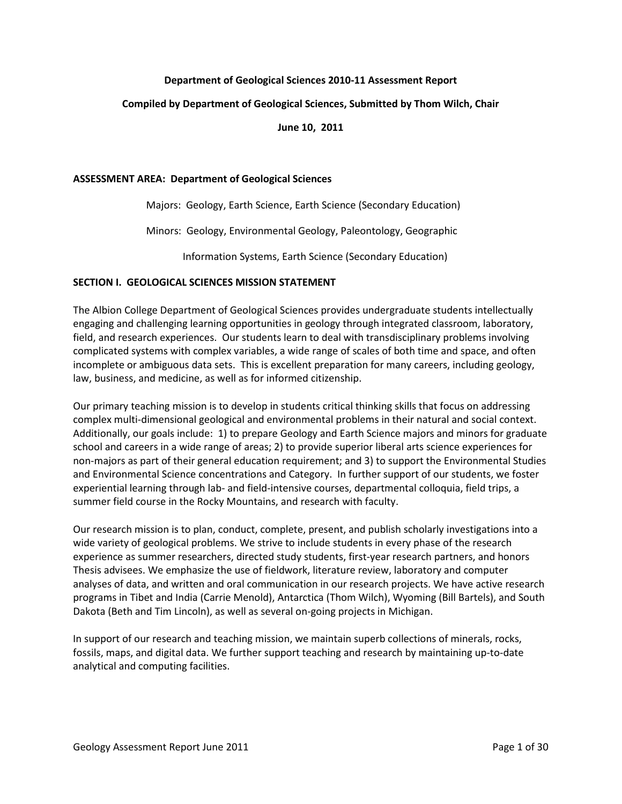## **Department of Geological Sciences 2010-11 Assessment Report**

### **Compiled by Department of Geological Sciences, Submitted by Thom Wilch, Chair**

**June 10, 2011**

#### **ASSESSMENT AREA: Department of Geological Sciences**

Majors: Geology, Earth Science, Earth Science (Secondary Education)

Minors: Geology, Environmental Geology, Paleontology, Geographic

Information Systems, Earth Science (Secondary Education)

### **SECTION I. GEOLOGICAL SCIENCES MISSION STATEMENT**

The Albion College Department of Geological Sciences provides undergraduate students intellectually engaging and challenging learning opportunities in geology through integrated classroom, laboratory, field, and research experiences. Our students learn to deal with transdisciplinary problems involving complicated systems with complex variables, a wide range of scales of both time and space, and often incomplete or ambiguous data sets. This is excellent preparation for many careers, including geology, law, business, and medicine, as well as for informed citizenship.

Our primary teaching mission is to develop in students critical thinking skills that focus on addressing complex multi-dimensional geological and environmental problems in their natural and social context. Additionally, our goals include: 1) to prepare Geology and Earth Science majors and minors for graduate school and careers in a wide range of areas; 2) to provide superior liberal arts science experiences for non-majors as part of their general education requirement; and 3) to support the Environmental Studies and Environmental Science concentrations and Category. In further support of our students, we foster experiential learning through lab- and field-intensive courses, departmental colloquia, field trips, a summer field course in the Rocky Mountains, and research with faculty.

Our research mission is to plan, conduct, complete, present, and publish scholarly investigations into a wide variety of geological problems. We strive to include students in every phase of the research experience as summer researchers, directed study students, first-year research partners, and honors Thesis advisees. We emphasize the use of fieldwork, literature review, laboratory and computer analyses of data, and written and oral communication in our research projects. We have active research programs in Tibet and India (Carrie Menold), Antarctica (Thom Wilch), Wyoming (Bill Bartels), and South Dakota (Beth and Tim Lincoln), as well as several on-going projects in Michigan.

In support of our research and teaching mission, we maintain superb collections of minerals, rocks, fossils, maps, and digital data. We further support teaching and research by maintaining up-to-date analytical and computing facilities.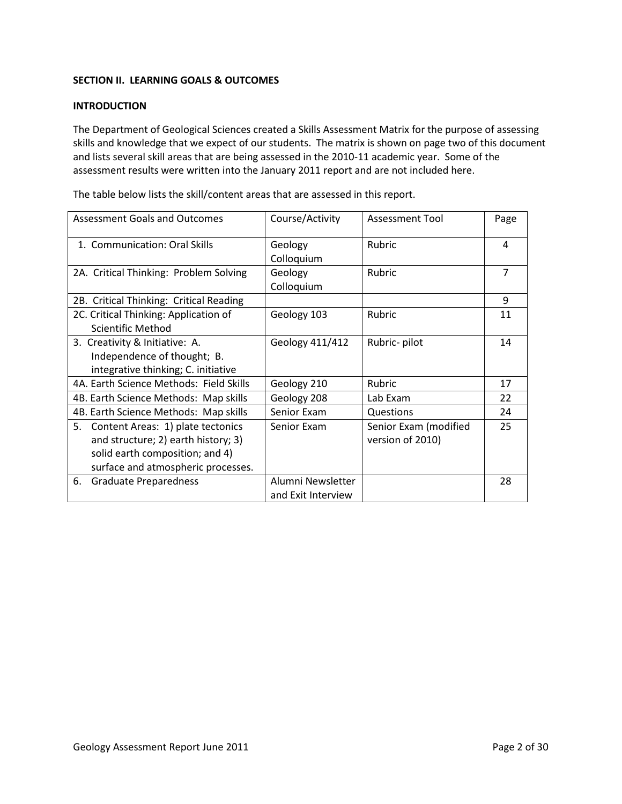# **SECTION II. LEARNING GOALS & OUTCOMES**

## **INTRODUCTION**

The Department of Geological Sciences created a Skills Assessment Matrix for the purpose of assessing skills and knowledge that we expect of our students. The matrix is shown on page two of this document and lists several skill areas that are being assessed in the 2010-11 academic year. Some of the assessment results were written into the January 2011 report and are not included here.

Assessment Goals and Outcomes | Course/Activity | Assessment Tool | Page 1. Communication: Oral Skills | Geology Colloquium Rubric 14 2A. Critical Thinking: Problem Solving | Geology Colloquium Rubric 2 7 2B. Critical Thinking: Critical Reading | Partical Property | 9 2C. Critical Thinking: Application of Scientific Method Geology 103 Rubric 11 3. Creativity & Initiative: A. Independence of thought; B. integrative thinking; C. initiative Geology  $411/412$  Rubric-pilot 14 4A. Earth Science Methods: Field Skills | Geology 210 | Rubric | 17 4B. Earth Science Methods: Map skills | Geology 208 | Lab Exam | 22 4B. Earth Science Methods: Map skills | Senior Exam | Questions | 24 5. Content Areas: 1) plate tectonics and structure; 2) earth history; 3) solid earth composition; and 4) surface and atmospheric processes. Senior Exam Senior Exam (modified version of 2010) 25 6. Graduate Preparedness | Alumni Newsletter and Exit Interview 28

The table below lists the skill/content areas that are assessed in this report.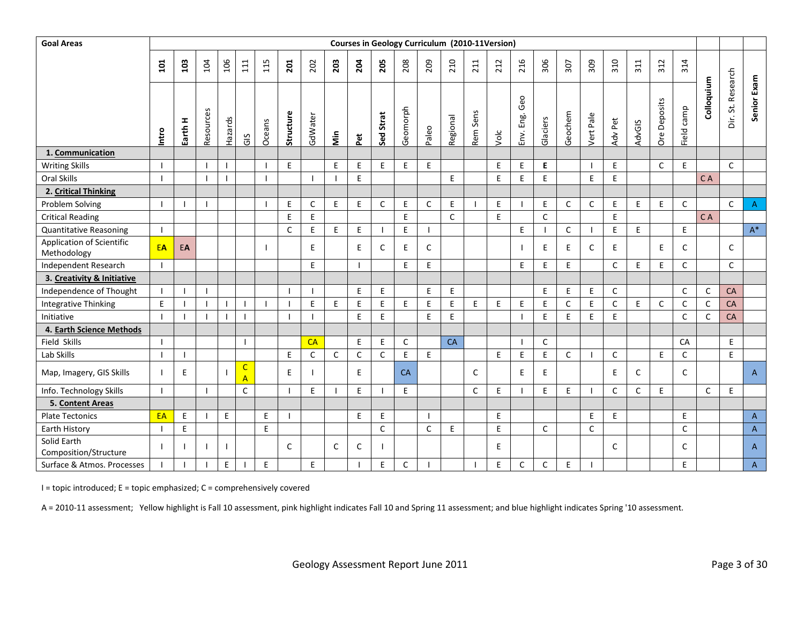| <b>Goal Areas</b>                        |                |              |           |         |                                |        |              |              |              |              |              |           |              | Courses in Geology Curriculum (2010-11Version) |              |      |                  |              |              |              |              |        |              |                          |              |                   |                |
|------------------------------------------|----------------|--------------|-----------|---------|--------------------------------|--------|--------------|--------------|--------------|--------------|--------------|-----------|--------------|------------------------------------------------|--------------|------|------------------|--------------|--------------|--------------|--------------|--------|--------------|--------------------------|--------------|-------------------|----------------|
|                                          | $\overline{a}$ | 103          | 104       | 106     | 111                            | 115    | 201          | 202          | 203          | 204          | 205          | 208       | 209          | 210                                            | 211          | 212  | 216              | 306          | 307          | 309          | 310          | 311    | 312          | 314                      |              |                   |                |
|                                          | Intro          | Earth H      | Resources | Hazards | GIS                            | Oceans | Structure    | GdWater      | Nin          | Pet          | Strat<br>Sed | Geomorph  | Paleo        | Regional                                       | Sens<br>Rem  | Volc | Geo<br>Env. Eng. | Glaciers     | Geochem      | Vert Pale    | Adv Pet      | AdvGIS | Ore Deposits | $\mathsf{camp}$<br>Field | Colloquium   | Dir. St. Research | Senior Exam    |
| 1. Communication                         |                |              |           |         |                                |        |              |              |              |              |              |           |              |                                                |              |      |                  |              |              |              |              |        |              |                          |              |                   |                |
| <b>Writing Skills</b>                    |                |              |           |         |                                |        | E            |              | E            | E            | E            | E         | E            |                                                |              | E    | E                | E.           |              |              | E            |        | $\mathsf{C}$ | E                        |              | C                 |                |
| Oral Skills                              |                |              |           |         |                                |        |              | $\mathbf{I}$ |              | E            |              |           |              | E                                              |              | E    | E                | E            |              | E            | E            |        |              |                          | CA           |                   |                |
| 2. Critical Thinking                     |                |              |           |         |                                |        |              |              |              |              |              |           |              |                                                |              |      |                  |              |              |              |              |        |              |                          |              |                   |                |
| Problem Solving                          | -1             |              |           |         |                                |        | E            | $\mathsf{C}$ | E            | E            | $\mathsf{C}$ | E         | $\mathsf{C}$ | E                                              |              | E    |                  | E            | $\mathsf{C}$ | $\mathsf{C}$ | $\mathsf E$  | E      | E            | $\mathsf{C}$             |              | $\mathsf{C}$      | $\overline{A}$ |
| <b>Critical Reading</b>                  |                |              |           |         |                                |        | $\mathsf E$  | $\mathsf E$  |              |              |              | E         |              | $\mathsf{C}$                                   |              | E    |                  | $\mathsf{C}$ |              |              | $\mathsf E$  |        |              |                          | C A          |                   |                |
| <b>Quantitative Reasoning</b>            | -1             |              |           |         |                                |        | $\mathsf{C}$ | E            | E            | E            |              | E         |              |                                                |              |      | E                |              | $\mathsf{C}$ |              | E            | E      |              | E                        |              |                   | $\mathsf{A}^*$ |
| Application of Scientific<br>Methodology | EA             | EA           |           |         |                                |        |              | E            |              | E.           | C            | E         | C            |                                                |              |      |                  | E.           | E            | C            | E.           |        | E            | C                        |              | C                 |                |
| Independent Research                     | $\overline{1}$ |              |           |         |                                |        |              | E            |              |              |              | E         | E            |                                                |              |      | E                | E            | E            |              | $\mathsf{C}$ | E      | E            | $\mathsf{C}$             |              | $\mathsf{C}$      |                |
| 3. Creativity & Initiative               |                |              |           |         |                                |        |              |              |              |              |              |           |              |                                                |              |      |                  |              |              |              |              |        |              |                          |              |                   |                |
| Independence of Thought                  |                | $\mathbf{I}$ |           |         |                                |        |              | $\mathbf{I}$ |              | E            | E            |           | E.           | E                                              |              |      |                  | E            | E            | E            | $\mathsf{C}$ |        |              | C                        | C            | <b>CA</b>         |                |
| Integrative Thinking                     | E.             |              |           |         |                                |        |              | $\mathsf E$  | E            | E            | $\mathsf E$  | E         | E            | E                                              | E            | E    | E                | E            | $\mathsf C$  | E            | $\mathsf C$  | E      | $\mathsf{C}$ | $\mathsf{C}$             | $\mathsf{C}$ | CA                |                |
| Initiative                               |                |              |           |         |                                |        |              |              |              | E            | E            |           | E            | E                                              |              |      |                  | E            | E            | E            | E            |        |              | $\mathsf{C}$             | C            | CA                |                |
| 4. Earth Science Methods                 |                |              |           |         |                                |        |              |              |              |              |              |           |              |                                                |              |      |                  |              |              |              |              |        |              |                          |              |                   |                |
| Field Skills                             | $\mathbf{I}$   |              |           |         |                                |        |              | CA           |              | E            | E            | C         |              | CA                                             |              |      |                  | $\mathsf{C}$ |              |              |              |        |              | CA                       |              | E                 |                |
| Lab Skills                               | $\mathbf{I}$   | $\mathbf{I}$ |           |         |                                |        | E            | $\mathsf C$  | $\mathsf C$  | $\mathsf{C}$ | $\mathsf{C}$ | E         | E            |                                                |              | F    | E                | E            | $\mathsf{C}$ |              | $\mathsf{C}$ |        | $\mathsf E$  | $\mathsf C$              |              | E                 |                |
| Map, Imagery, GIS Skills                 |                | E            |           |         | $\mathsf{C}$<br>$\overline{A}$ |        | E            | $\mathbf{I}$ |              | E            |              | <b>CA</b> |              |                                                | C            |      | E                | E            |              |              | E            | C      |              | $\mathsf{C}$             |              |                   | $\mathsf{A}$   |
| Info. Technology Skills                  | $\mathbf{I}$   |              |           |         | $\mathsf C$                    |        |              | E            |              | Ε            |              | E         |              |                                                | $\mathsf{C}$ | E    |                  | E            | E            |              | $\mathsf{C}$ | C      | E.           |                          | $\mathsf{C}$ | E                 |                |
| 5. Content Areas                         |                |              |           |         |                                |        |              |              |              |              |              |           |              |                                                |              |      |                  |              |              |              |              |        |              |                          |              |                   |                |
| <b>Plate Tectonics</b>                   | EA             | E            |           | E       |                                | E      |              |              |              | E            | E            |           |              |                                                |              | E    |                  |              |              | E            | E            |        |              | E                        |              |                   | $\mathsf{A}$   |
| Earth History                            |                | E            |           |         |                                | E      |              |              |              |              | $\mathsf C$  |           | $\mathsf C$  | E                                              |              | E    |                  | $\mathsf C$  |              | $\mathsf C$  |              |        |              | $\mathsf C$              |              |                   | $\mathsf{A}$   |
| Solid Earth<br>Composition/Structure     |                |              |           |         |                                |        | $\mathsf{C}$ |              | $\mathsf{C}$ | C            |              |           |              |                                                |              | E    |                  |              |              |              | $\mathsf{C}$ |        |              | C                        |              |                   | $\mathsf{A}$   |
| Surface & Atmos. Processes               |                |              |           | E       |                                | E      |              | E            |              |              | E            | C         |              |                                                |              | E    | $\mathsf{C}$     | $\mathsf C$  | E            |              |              |        |              | E                        |              |                   | $\mathsf{A}$   |

I = topic introduced; E = topic emphasized; C = comprehensively covered

A = 2010-11 assessment; Yellow highlight is Fall 10 assessment, pink highlight indicates Fall 10 and Spring 11 assessment; and blue highlight indicates Spring '10 assessment.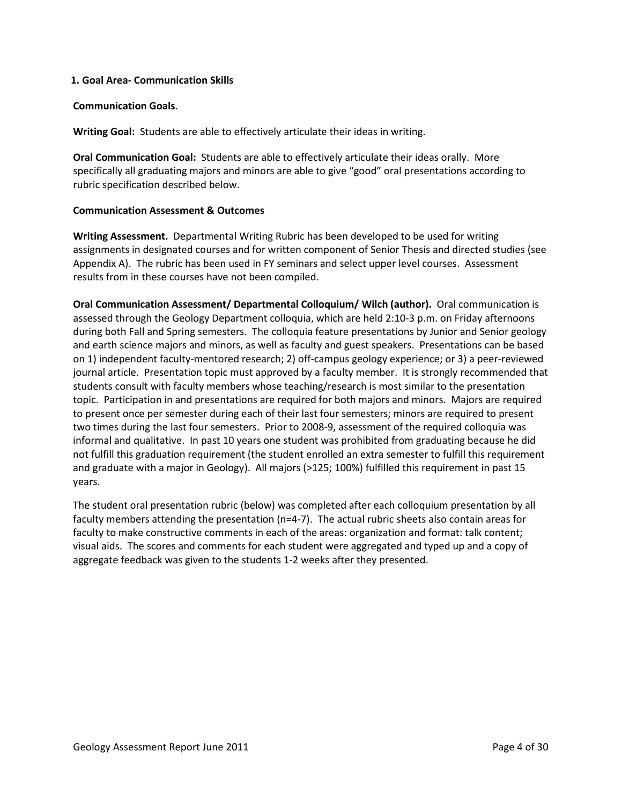### **1. Goal Area- Communication Skills**

### **Communication Goals**.

**Writing Goal:** Students are able to effectively articulate their ideas in writing.

**Oral Communication Goal:** Students are able to effectively articulate their ideas orally. More specifically all graduating majors and minors are able to give "good" oral presentations according to rubric specification described below.

### **Communication Assessment & Outcomes**

**Writing Assessment.** Departmental Writing Rubric has been developed to be used for writing assignments in designated courses and for written component of Senior Thesis and directed studies (see Appendix A). The rubric has been used in FY seminars and select upper level courses. Assessment results from in these courses have not been compiled.

**Oral Communication Assessment/ Departmental Colloquium/ Wilch (author).** Oral communication is assessed through the Geology Department colloquia, which are held 2:10-3 p.m. on Friday afternoons during both Fall and Spring semesters. The colloquia feature presentations by Junior and Senior geology and earth science majors and minors, as well as faculty and guest speakers. Presentations can be based on 1) independent faculty-mentored research; 2) off-campus geology experience; or 3) a peer-reviewed journal article. Presentation topic must approved by a faculty member. It is strongly recommended that students consult with faculty members whose teaching/research is most similar to the presentation topic. Participation in and presentations are required for both majors and minors. Majors are required to present once per semester during each of their last four semesters; minors are required to present two times during the last four semesters. Prior to 2008-9, assessment of the required colloquia was informal and qualitative. In past 10 years one student was prohibited from graduating because he did not fulfill this graduation requirement (the student enrolled an extra semester to fulfill this requirement and graduate with a major in Geology). All majors (>125; 100%) fulfilled this requirement in past 15 years.

The student oral presentation rubric (below) was completed after each colloquium presentation by all faculty members attending the presentation (n=4-7). The actual rubric sheets also contain areas for faculty to make constructive comments in each of the areas: organization and format: talk content; visual aids. The scores and comments for each student were aggregated and typed up and a copy of aggregate feedback was given to the students 1-2 weeks after they presented.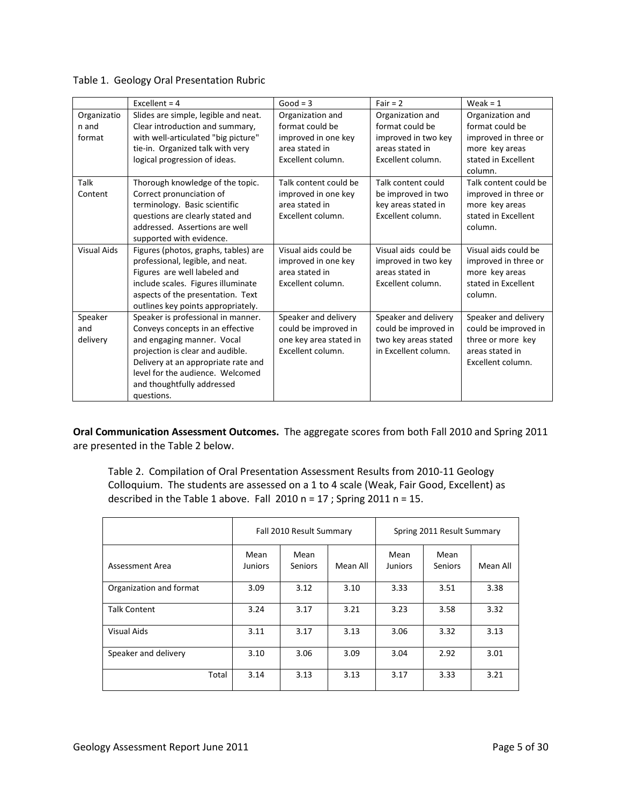|                    | Excellent = $4$                      | $Good = 3$             | Fair = $2$           | Weak = $1$            |
|--------------------|--------------------------------------|------------------------|----------------------|-----------------------|
| Organizatio        | Slides are simple, legible and neat. | Organization and       | Organization and     | Organization and      |
| n and              | Clear introduction and summary,      | format could be        | format could be      | format could be       |
| format             | with well-articulated "big picture"  | improved in one key    | improved in two key  | improved in three or  |
|                    | tie-in. Organized talk with very     | area stated in         | areas stated in      | more key areas        |
|                    | logical progression of ideas.        | Excellent column.      | Excellent column.    | stated in Excellent   |
|                    |                                      |                        |                      | column.               |
| Talk               | Thorough knowledge of the topic.     | Talk content could be  | Talk content could   | Talk content could be |
| Content            | Correct pronunciation of             | improved in one key    | be improved in two   | improved in three or  |
|                    | terminology. Basic scientific        | area stated in         | key areas stated in  | more key areas        |
|                    | questions are clearly stated and     | Excellent column.      | Excellent column.    | stated in Excellent   |
|                    | addressed. Assertions are well       |                        |                      | column.               |
|                    | supported with evidence.             |                        |                      |                       |
| <b>Visual Aids</b> | Figures (photos, graphs, tables) are | Visual aids could be   | Visual aids could be | Visual aids could be  |
|                    | professional, legible, and neat.     | improved in one key    | improved in two key  | improved in three or  |
|                    | Figures are well labeled and         | area stated in         | areas stated in      | more key areas        |
|                    | include scales. Figures illuminate   | Excellent column.      | Excellent column.    | stated in Excellent   |
|                    | aspects of the presentation. Text    |                        |                      | column.               |
|                    | outlines key points appropriately.   |                        |                      |                       |
| Speaker            | Speaker is professional in manner.   | Speaker and delivery   | Speaker and delivery | Speaker and delivery  |
| and                | Conveys concepts in an effective     | could be improved in   | could be improved in | could be improved in  |
| delivery           | and engaging manner. Vocal           | one key area stated in | two key areas stated | three or more key     |
|                    | projection is clear and audible.     | Excellent column.      | in Excellent column. | areas stated in       |
|                    | Delivery at an appropriate rate and  |                        |                      | Excellent column.     |
|                    | level for the audience. Welcomed     |                        |                      |                       |
|                    | and thoughtfully addressed           |                        |                      |                       |
|                    | questions.                           |                        |                      |                       |

|  |  | Table 1. Geology Oral Presentation Rubric |  |
|--|--|-------------------------------------------|--|
|--|--|-------------------------------------------|--|

**Oral Communication Assessment Outcomes.** The aggregate scores from both Fall 2010 and Spring 2011 are presented in the Table 2 below.

Table 2. Compilation of Oral Presentation Assessment Results from 2010-11 Geology Colloquium. The students are assessed on a 1 to 4 scale (Weak, Fair Good, Excellent) as described in the Table 1 above. Fall 2010 n = 17 ; Spring 2011 n = 15.

|                         |                 | Fall 2010 Result Summary |          |                        | Spring 2011 Result Summary |          |
|-------------------------|-----------------|--------------------------|----------|------------------------|----------------------------|----------|
| Assessment Area         | Mean<br>Juniors | Mean<br><b>Seniors</b>   | Mean All | Mean<br><b>Juniors</b> | Mean<br>Seniors            | Mean All |
| Organization and format | 3.09            | 3.12                     | 3.10     | 3.33                   | 3.51                       | 3.38     |
| <b>Talk Content</b>     | 3.24            | 3.17                     | 3.21     | 3.23                   | 3.58                       | 3.32     |
| <b>Visual Aids</b>      | 3.11            | 3.17                     | 3.13     | 3.06                   | 3.32                       | 3.13     |
| Speaker and delivery    | 3.10            | 3.06                     | 3.09     | 3.04                   | 2.92                       | 3.01     |
| Total                   | 3.14            | 3.13                     | 3.13     | 3.17                   | 3.33                       | 3.21     |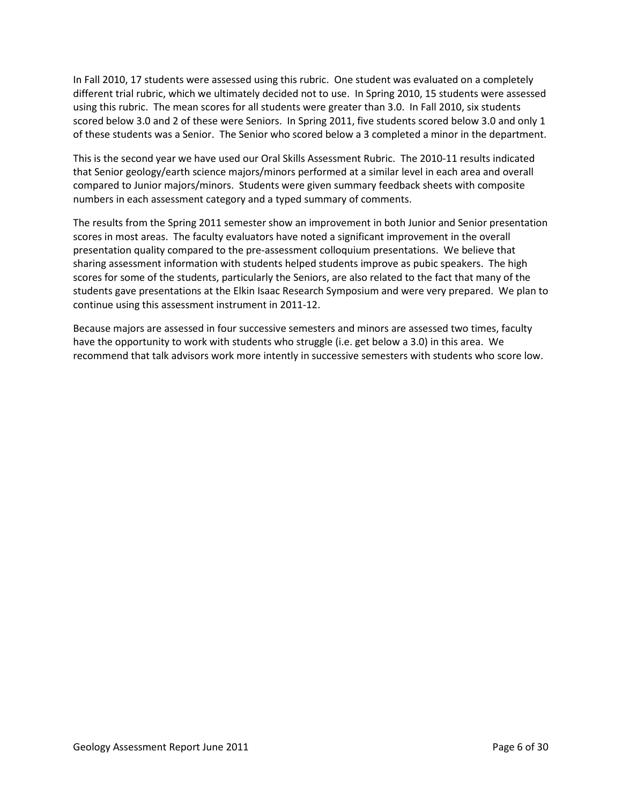In Fall 2010, 17 students were assessed using this rubric. One student was evaluated on a completely different trial rubric, which we ultimately decided not to use. In Spring 2010, 15 students were assessed using this rubric. The mean scores for all students were greater than 3.0. In Fall 2010, six students scored below 3.0 and 2 of these were Seniors. In Spring 2011, five students scored below 3.0 and only 1 of these students was a Senior. The Senior who scored below a 3 completed a minor in the department.

This is the second year we have used our Oral Skills Assessment Rubric. The 2010-11 results indicated that Senior geology/earth science majors/minors performed at a similar level in each area and overall compared to Junior majors/minors. Students were given summary feedback sheets with composite numbers in each assessment category and a typed summary of comments.

The results from the Spring 2011 semester show an improvement in both Junior and Senior presentation scores in most areas. The faculty evaluators have noted a significant improvement in the overall presentation quality compared to the pre-assessment colloquium presentations. We believe that sharing assessment information with students helped students improve as pubic speakers. The high scores for some of the students, particularly the Seniors, are also related to the fact that many of the students gave presentations at the Elkin Isaac Research Symposium and were very prepared. We plan to continue using this assessment instrument in 2011-12.

Because majors are assessed in four successive semesters and minors are assessed two times, faculty have the opportunity to work with students who struggle (i.e. get below a 3.0) in this area. We recommend that talk advisors work more intently in successive semesters with students who score low.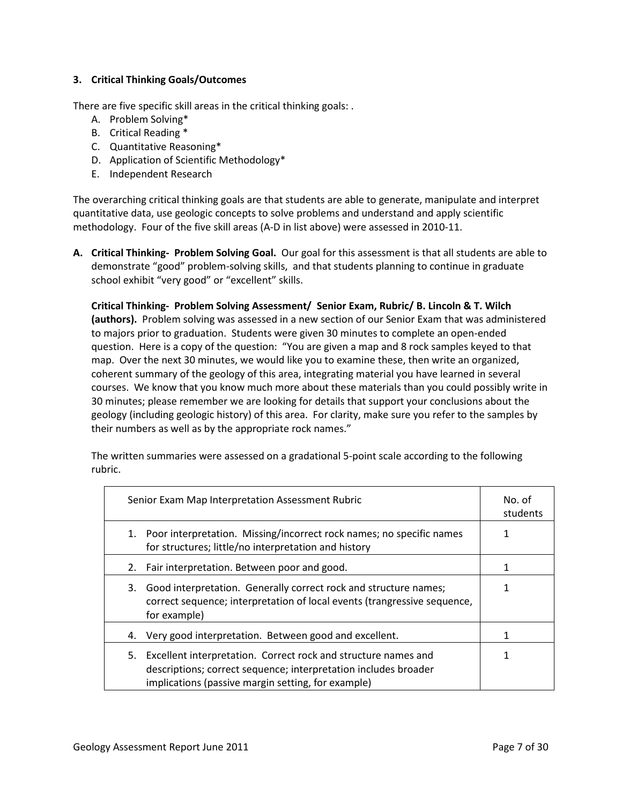# **3. Critical Thinking Goals/Outcomes**

There are five specific skill areas in the critical thinking goals: .

- A. Problem Solving\*
- B. Critical Reading \*
- C. Quantitative Reasoning\*
- D. Application of Scientific Methodology\*
- E. Independent Research

The overarching critical thinking goals are that students are able to generate, manipulate and interpret quantitative data, use geologic concepts to solve problems and understand and apply scientific methodology. Four of the five skill areas (A-D in list above) were assessed in 2010-11.

**A. Critical Thinking- Problem Solving Goal.** Our goal for this assessment is that all students are able to demonstrate "good" problem-solving skills, and that students planning to continue in graduate school exhibit "very good" or "excellent" skills.

**Critical Thinking- Problem Solving Assessment/ Senior Exam, Rubric/ B. Lincoln & T. Wilch (authors).** Problem solving was assessed in a new section of our Senior Exam that was administered to majors prior to graduation. Students were given 30 minutes to complete an open-ended question. Here is a copy of the question: "You are given a map and 8 rock samples keyed to that map. Over the next 30 minutes, we would like you to examine these, then write an organized, coherent summary of the geology of this area, integrating material you have learned in several courses. We know that you know much more about these materials than you could possibly write in 30 minutes; please remember we are looking for details that support your conclusions about the geology (including geologic history) of this area. For clarity, make sure you refer to the samples by their numbers as well as by the appropriate rock names."

The written summaries were assessed on a gradational 5-point scale according to the following rubric.

| Senior Exam Map Interpretation Assessment Rubric                                                                                                                                              | No. of<br>students |
|-----------------------------------------------------------------------------------------------------------------------------------------------------------------------------------------------|--------------------|
| Poor interpretation. Missing/incorrect rock names; no specific names<br>1.<br>for structures; little/no interpretation and history                                                            |                    |
| Fair interpretation. Between poor and good.<br>2.                                                                                                                                             |                    |
| Good interpretation. Generally correct rock and structure names;<br>3.<br>correct sequence; interpretation of local events (trangressive sequence,<br>for example)                            |                    |
| Very good interpretation. Between good and excellent.<br>4.                                                                                                                                   |                    |
| Excellent interpretation. Correct rock and structure names and<br>5.<br>descriptions; correct sequence; interpretation includes broader<br>implications (passive margin setting, for example) | 1                  |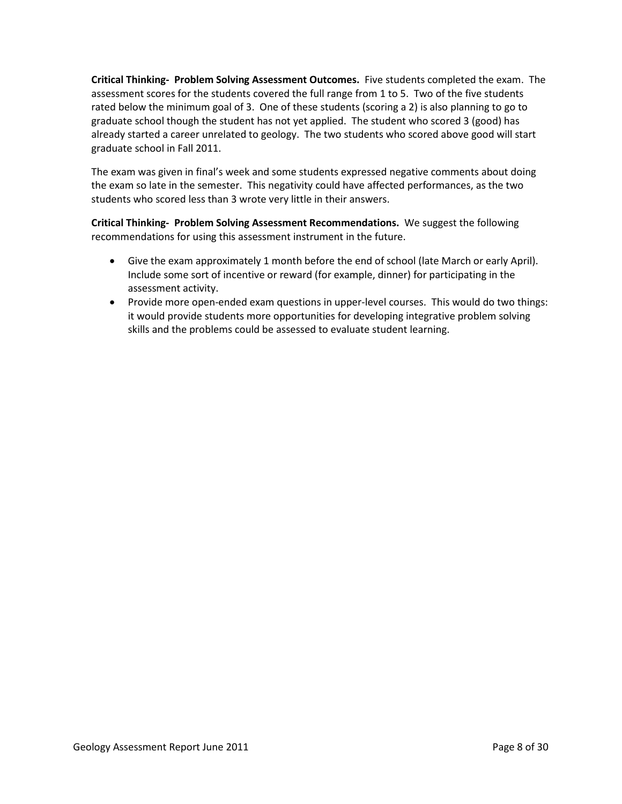**Critical Thinking- Problem Solving Assessment Outcomes.** Five students completed the exam. The assessment scores for the students covered the full range from 1 to 5. Two of the five students rated below the minimum goal of 3. One of these students (scoring a 2) is also planning to go to graduate school though the student has not yet applied. The student who scored 3 (good) has already started a career unrelated to geology. The two students who scored above good will start graduate school in Fall 2011.

The exam was given in final's week and some students expressed negative comments about doing the exam so late in the semester. This negativity could have affected performances, as the two students who scored less than 3 wrote very little in their answers.

**Critical Thinking- Problem Solving Assessment Recommendations.** We suggest the following recommendations for using this assessment instrument in the future.

- Give the exam approximately 1 month before the end of school (late March or early April). Include some sort of incentive or reward (for example, dinner) for participating in the assessment activity.
- Provide more open-ended exam questions in upper-level courses. This would do two things: it would provide students more opportunities for developing integrative problem solving skills and the problems could be assessed to evaluate student learning.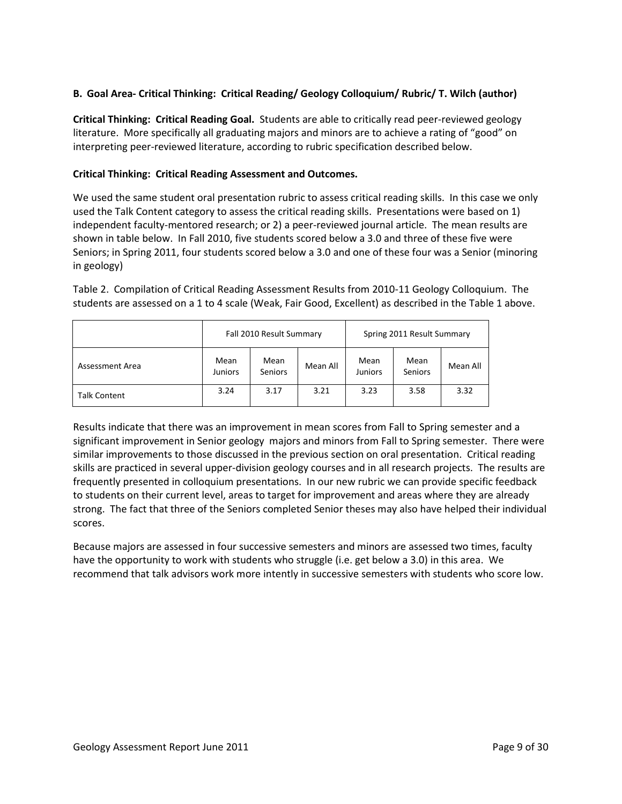# **B. Goal Area- Critical Thinking: Critical Reading/ Geology Colloquium/ Rubric/ T. Wilch (author)**

**Critical Thinking: Critical Reading Goal.** Students are able to critically read peer-reviewed geology literature. More specifically all graduating majors and minors are to achieve a rating of "good" on interpreting peer-reviewed literature, according to rubric specification described below.

## **Critical Thinking: Critical Reading Assessment and Outcomes.**

We used the same student oral presentation rubric to assess critical reading skills. In this case we only used the Talk Content category to assess the critical reading skills. Presentations were based on 1) independent faculty-mentored research; or 2) a peer-reviewed journal article. The mean results are shown in table below. In Fall 2010, five students scored below a 3.0 and three of these five were Seniors; in Spring 2011, four students scored below a 3.0 and one of these four was a Senior (minoring in geology)

Table 2. Compilation of Critical Reading Assessment Results from 2010-11 Geology Colloquium. The students are assessed on a 1 to 4 scale (Weak, Fair Good, Excellent) as described in the Table 1 above.

|                     |                        | Fall 2010 Result Summary |          |                        | Spring 2011 Result Summary |          |
|---------------------|------------------------|--------------------------|----------|------------------------|----------------------------|----------|
| Assessment Area     | Mean<br><b>Juniors</b> | Mean<br><b>Seniors</b>   | Mean All | Mean<br><b>Juniors</b> | Mean<br><b>Seniors</b>     | Mean All |
| <b>Talk Content</b> | 3.24                   | 3.17                     | 3.21     | 3.23                   | 3.58                       | 3.32     |

Results indicate that there was an improvement in mean scores from Fall to Spring semester and a significant improvement in Senior geology majors and minors from Fall to Spring semester. There were similar improvements to those discussed in the previous section on oral presentation. Critical reading skills are practiced in several upper-division geology courses and in all research projects. The results are frequently presented in colloquium presentations. In our new rubric we can provide specific feedback to students on their current level, areas to target for improvement and areas where they are already strong. The fact that three of the Seniors completed Senior theses may also have helped their individual scores.

Because majors are assessed in four successive semesters and minors are assessed two times, faculty have the opportunity to work with students who struggle (i.e. get below a 3.0) in this area. We recommend that talk advisors work more intently in successive semesters with students who score low.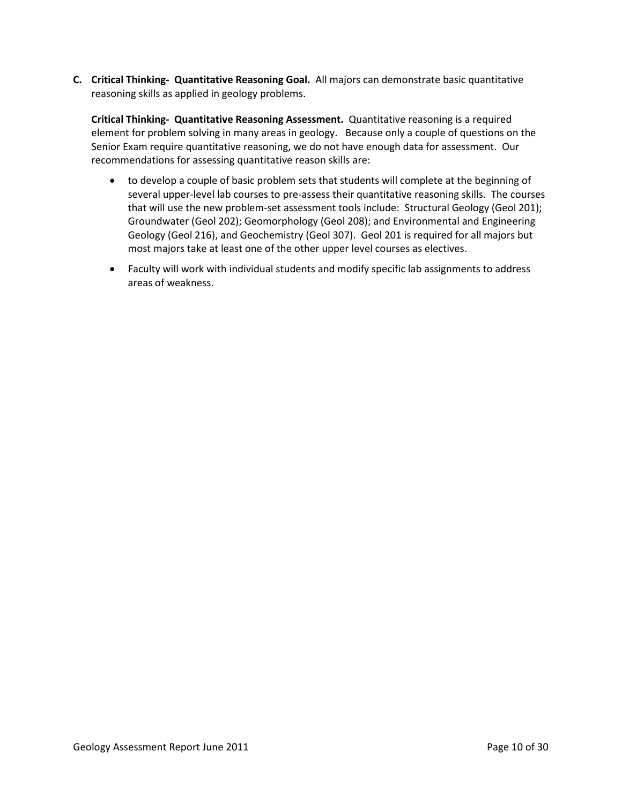**C. Critical Thinking- Quantitative Reasoning Goal.** All majors can demonstrate basic quantitative reasoning skills as applied in geology problems.

**Critical Thinking- Quantitative Reasoning Assessment.** Quantitative reasoning is a required element for problem solving in many areas in geology. Because only a couple of questions on the Senior Exam require quantitative reasoning, we do not have enough data for assessment. Our recommendations for assessing quantitative reason skills are:

- to develop a couple of basic problem sets that students will complete at the beginning of several upper-level lab courses to pre-assess their quantitative reasoning skills. The courses that will use the new problem-set assessment tools include: Structural Geology (Geol 201); Groundwater (Geol 202); Geomorphology (Geol 208); and Environmental and Engineering Geology (Geol 216), and Geochemistry (Geol 307). Geol 201 is required for all majors but most majors take at least one of the other upper level courses as electives.
- Faculty will work with individual students and modify specific lab assignments to address areas of weakness.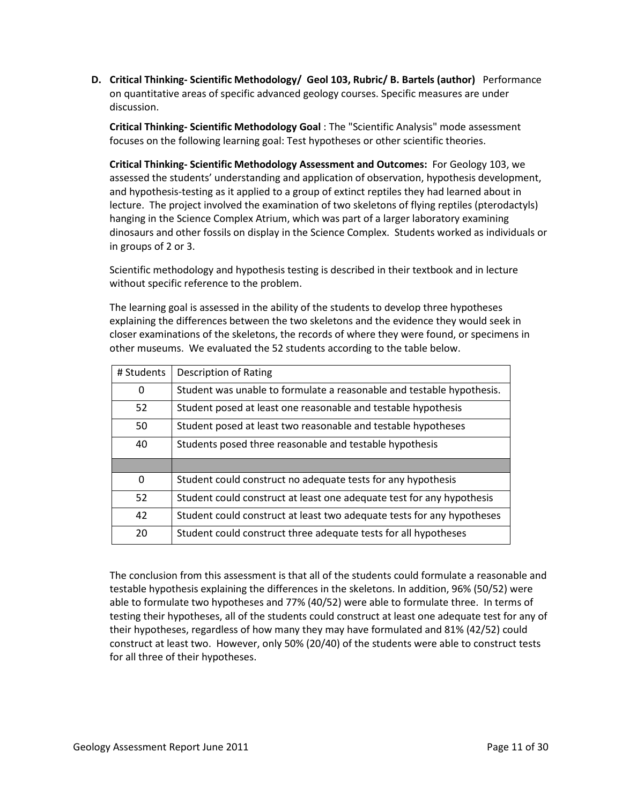**D. Critical Thinking- Scientific Methodology/ Geol 103, Rubric/ B. Bartels (author)** Performance on quantitative areas of specific advanced geology courses. Specific measures are under discussion.

**Critical Thinking- Scientific Methodology Goal** : The "Scientific Analysis" mode assessment focuses on the following learning goal: Test hypotheses or other scientific theories.

**Critical Thinking- Scientific Methodology Assessment and Outcomes:** For Geology 103, we assessed the students' understanding and application of observation, hypothesis development, and hypothesis-testing as it applied to a group of extinct reptiles they had learned about in lecture. The project involved the examination of two skeletons of flying reptiles (pterodactyls) hanging in the Science Complex Atrium, which was part of a larger laboratory examining dinosaurs and other fossils on display in the Science Complex. Students worked as individuals or in groups of 2 or 3.

Scientific methodology and hypothesis testing is described in their textbook and in lecture without specific reference to the problem.

The learning goal is assessed in the ability of the students to develop three hypotheses explaining the differences between the two skeletons and the evidence they would seek in closer examinations of the skeletons, the records of where they were found, or specimens in other museums. We evaluated the 52 students according to the table below.

| # Students | <b>Description of Rating</b>                                           |
|------------|------------------------------------------------------------------------|
| 0          | Student was unable to formulate a reasonable and testable hypothesis.  |
| 52         | Student posed at least one reasonable and testable hypothesis          |
| 50         | Student posed at least two reasonable and testable hypotheses          |
| 40         | Students posed three reasonable and testable hypothesis                |
|            |                                                                        |
| $\Omega$   | Student could construct no adequate tests for any hypothesis           |
| 52         | Student could construct at least one adequate test for any hypothesis  |
| 42         | Student could construct at least two adequate tests for any hypotheses |
| 20         | Student could construct three adequate tests for all hypotheses        |

The conclusion from this assessment is that all of the students could formulate a reasonable and testable hypothesis explaining the differences in the skeletons. In addition, 96% (50/52) were able to formulate two hypotheses and 77% (40/52) were able to formulate three. In terms of testing their hypotheses, all of the students could construct at least one adequate test for any of their hypotheses, regardless of how many they may have formulated and 81% (42/52) could construct at least two. However, only 50% (20/40) of the students were able to construct tests for all three of their hypotheses.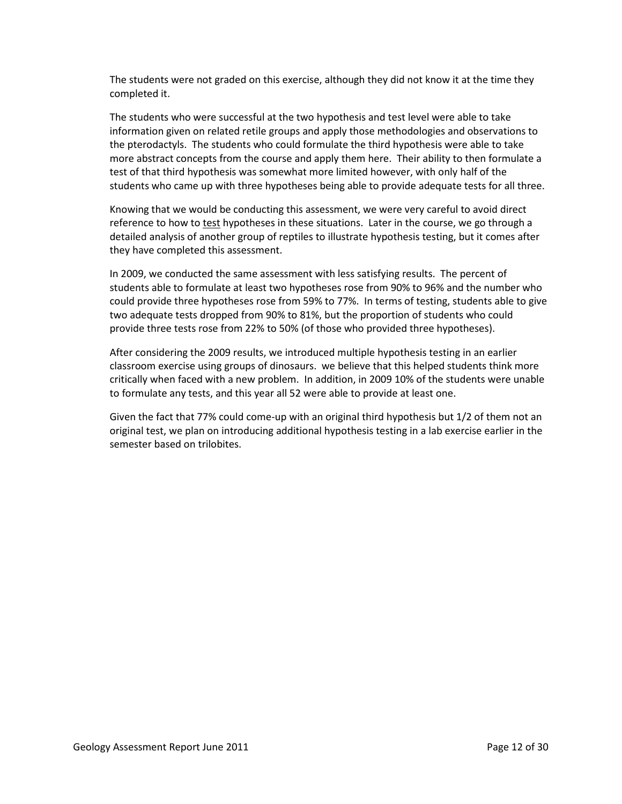The students were not graded on this exercise, although they did not know it at the time they completed it.

The students who were successful at the two hypothesis and test level were able to take information given on related retile groups and apply those methodologies and observations to the pterodactyls. The students who could formulate the third hypothesis were able to take more abstract concepts from the course and apply them here. Their ability to then formulate a test of that third hypothesis was somewhat more limited however, with only half of the students who came up with three hypotheses being able to provide adequate tests for all three.

Knowing that we would be conducting this assessment, we were very careful to avoid direct reference to how to test hypotheses in these situations. Later in the course, we go through a detailed analysis of another group of reptiles to illustrate hypothesis testing, but it comes after they have completed this assessment.

In 2009, we conducted the same assessment with less satisfying results. The percent of students able to formulate at least two hypotheses rose from 90% to 96% and the number who could provide three hypotheses rose from 59% to 77%. In terms of testing, students able to give two adequate tests dropped from 90% to 81%, but the proportion of students who could provide three tests rose from 22% to 50% (of those who provided three hypotheses).

After considering the 2009 results, we introduced multiple hypothesis testing in an earlier classroom exercise using groups of dinosaurs. we believe that this helped students think more critically when faced with a new problem. In addition, in 2009 10% of the students were unable to formulate any tests, and this year all 52 were able to provide at least one.

Given the fact that 77% could come-up with an original third hypothesis but 1/2 of them not an original test, we plan on introducing additional hypothesis testing in a lab exercise earlier in the semester based on trilobites.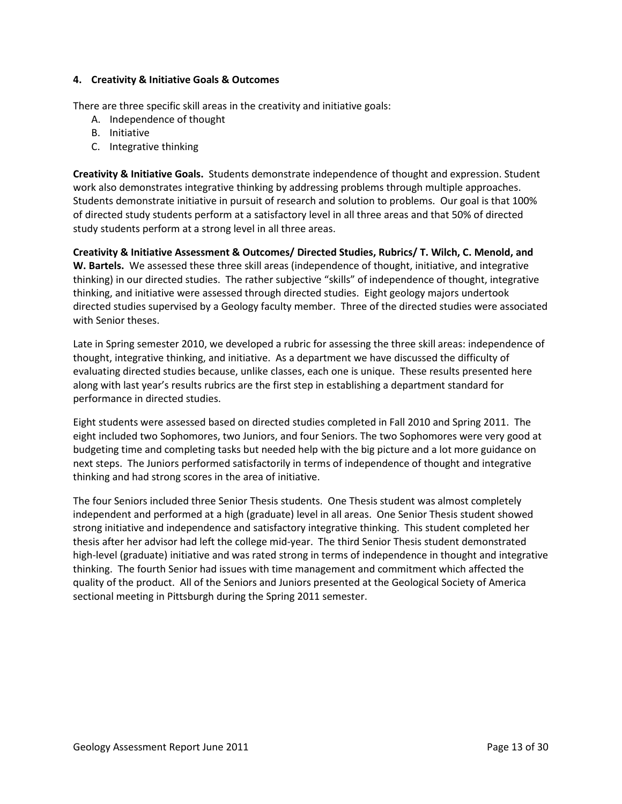### **4. Creativity & Initiative Goals & Outcomes**

There are three specific skill areas in the creativity and initiative goals:

- A. Independence of thought
- B. Initiative
- C. Integrative thinking

**Creativity & Initiative Goals.** Students demonstrate independence of thought and expression. Student work also demonstrates integrative thinking by addressing problems through multiple approaches. Students demonstrate initiative in pursuit of research and solution to problems. Our goal is that 100% of directed study students perform at a satisfactory level in all three areas and that 50% of directed study students perform at a strong level in all three areas.

**Creativity & Initiative Assessment & Outcomes/ Directed Studies, Rubrics/ T. Wilch, C. Menold, and W. Bartels.** We assessed these three skill areas (independence of thought, initiative, and integrative thinking) in our directed studies. The rather subjective "skills" of independence of thought, integrative thinking, and initiative were assessed through directed studies. Eight geology majors undertook directed studies supervised by a Geology faculty member. Three of the directed studies were associated with Senior theses.

Late in Spring semester 2010, we developed a rubric for assessing the three skill areas: independence of thought, integrative thinking, and initiative. As a department we have discussed the difficulty of evaluating directed studies because, unlike classes, each one is unique. These results presented here along with last year's results rubrics are the first step in establishing a department standard for performance in directed studies.

Eight students were assessed based on directed studies completed in Fall 2010 and Spring 2011. The eight included two Sophomores, two Juniors, and four Seniors. The two Sophomores were very good at budgeting time and completing tasks but needed help with the big picture and a lot more guidance on next steps. The Juniors performed satisfactorily in terms of independence of thought and integrative thinking and had strong scores in the area of initiative.

The four Seniors included three Senior Thesis students. One Thesis student was almost completely independent and performed at a high (graduate) level in all areas. One Senior Thesis student showed strong initiative and independence and satisfactory integrative thinking. This student completed her thesis after her advisor had left the college mid-year. The third Senior Thesis student demonstrated high-level (graduate) initiative and was rated strong in terms of independence in thought and integrative thinking. The fourth Senior had issues with time management and commitment which affected the quality of the product. All of the Seniors and Juniors presented at the Geological Society of America sectional meeting in Pittsburgh during the Spring 2011 semester.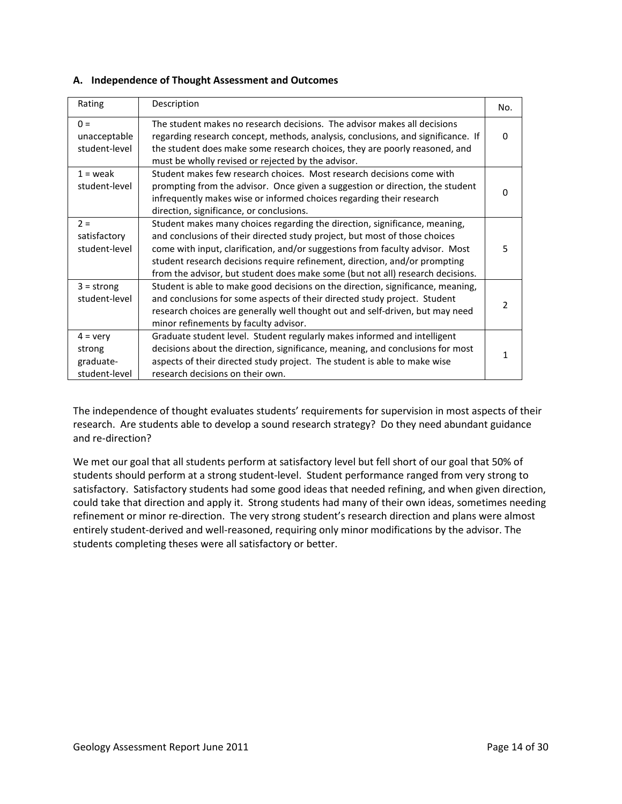## **A. Independence of Thought Assessment and Outcomes**

| Rating                                                    | Description                                                                                                                                                                                                                                                                                                                                                                                               | No.          |
|-----------------------------------------------------------|-----------------------------------------------------------------------------------------------------------------------------------------------------------------------------------------------------------------------------------------------------------------------------------------------------------------------------------------------------------------------------------------------------------|--------------|
| $0 =$<br>unacceptable<br>student-level                    | The student makes no research decisions. The advisor makes all decisions<br>regarding research concept, methods, analysis, conclusions, and significance. If<br>the student does make some research choices, they are poorly reasoned, and<br>must be wholly revised or rejected by the advisor.                                                                                                          | <sup>0</sup> |
| $1 =$ weak<br>student-level                               | Student makes few research choices. Most research decisions come with<br>prompting from the advisor. Once given a suggestion or direction, the student<br>infrequently makes wise or informed choices regarding their research<br>direction, significance, or conclusions.                                                                                                                                | 0            |
| $2 =$<br>satisfactory<br>student-level                    | Student makes many choices regarding the direction, significance, meaning,<br>and conclusions of their directed study project, but most of those choices<br>come with input, clarification, and/or suggestions from faculty advisor. Most<br>student research decisions require refinement, direction, and/or prompting<br>from the advisor, but student does make some (but not all) research decisions. | 5.           |
| $3 =$ strong<br>student-level                             | Student is able to make good decisions on the direction, significance, meaning,<br>and conclusions for some aspects of their directed study project. Student<br>research choices are generally well thought out and self-driven, but may need<br>minor refinements by faculty advisor.                                                                                                                    |              |
| $4 = \text{very}$<br>strong<br>graduate-<br>student-level | Graduate student level. Student regularly makes informed and intelligent<br>decisions about the direction, significance, meaning, and conclusions for most<br>aspects of their directed study project. The student is able to make wise<br>research decisions on their own.                                                                                                                               |              |

The independence of thought evaluates students' requirements for supervision in most aspects of their research. Are students able to develop a sound research strategy? Do they need abundant guidance and re-direction?

We met our goal that all students perform at satisfactory level but fell short of our goal that 50% of students should perform at a strong student-level. Student performance ranged from very strong to satisfactory. Satisfactory students had some good ideas that needed refining, and when given direction, could take that direction and apply it. Strong students had many of their own ideas, sometimes needing refinement or minor re-direction. The very strong student's research direction and plans were almost entirely student-derived and well-reasoned, requiring only minor modifications by the advisor. The students completing theses were all satisfactory or better.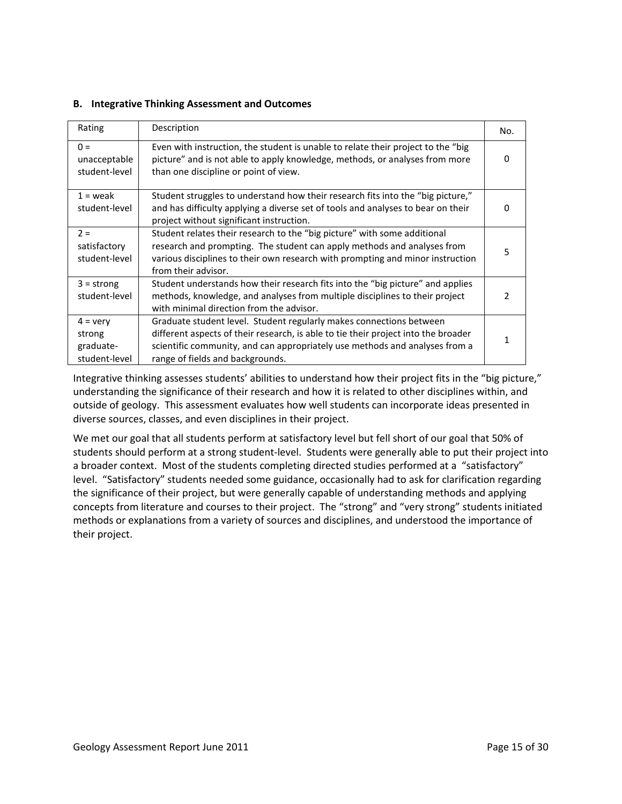### **B. Integrative Thinking Assessment and Outcomes**

| Rating                                                    | Description                                                                                                                                                                                                                                                                  | No. |
|-----------------------------------------------------------|------------------------------------------------------------------------------------------------------------------------------------------------------------------------------------------------------------------------------------------------------------------------------|-----|
| $0 =$<br>unacceptable<br>student-level                    | Even with instruction, the student is unable to relate their project to the "big"<br>picture" and is not able to apply knowledge, methods, or analyses from more<br>than one discipline or point of view.                                                                    | 0   |
| $1 =$ weak<br>student-level                               | Student struggles to understand how their research fits into the "big picture,"<br>and has difficulty applying a diverse set of tools and analyses to bear on their<br>project without significant instruction.                                                              |     |
| $2 =$<br>satisfactory<br>student-level                    | Student relates their research to the "big picture" with some additional<br>research and prompting. The student can apply methods and analyses from<br>various disciplines to their own research with prompting and minor instruction<br>from their advisor.                 | 5   |
| $3 =$ strong<br>student-level                             | Student understands how their research fits into the "big picture" and applies<br>methods, knowledge, and analyses from multiple disciplines to their project<br>with minimal direction from the advisor.                                                                    | 2   |
| $4 = \text{very}$<br>strong<br>graduate-<br>student-level | Graduate student level. Student regularly makes connections between<br>different aspects of their research, is able to tie their project into the broader<br>scientific community, and can appropriately use methods and analyses from a<br>range of fields and backgrounds. |     |

Integrative thinking assesses students' abilities to understand how their project fits in the "big picture," understanding the significance of their research and how it is related to other disciplines within, and outside of geology. This assessment evaluates how well students can incorporate ideas presented in diverse sources, classes, and even disciplines in their project.

We met our goal that all students perform at satisfactory level but fell short of our goal that 50% of students should perform at a strong student-level. Students were generally able to put their project into a broader context. Most of the students completing directed studies performed at a "satisfactory" level. "Satisfactory" students needed some guidance, occasionally had to ask for clarification regarding the significance of their project, but were generally capable of understanding methods and applying concepts from literature and courses to their project. The "strong" and "very strong" students initiated methods or explanations from a variety of sources and disciplines, and understood the importance of their project.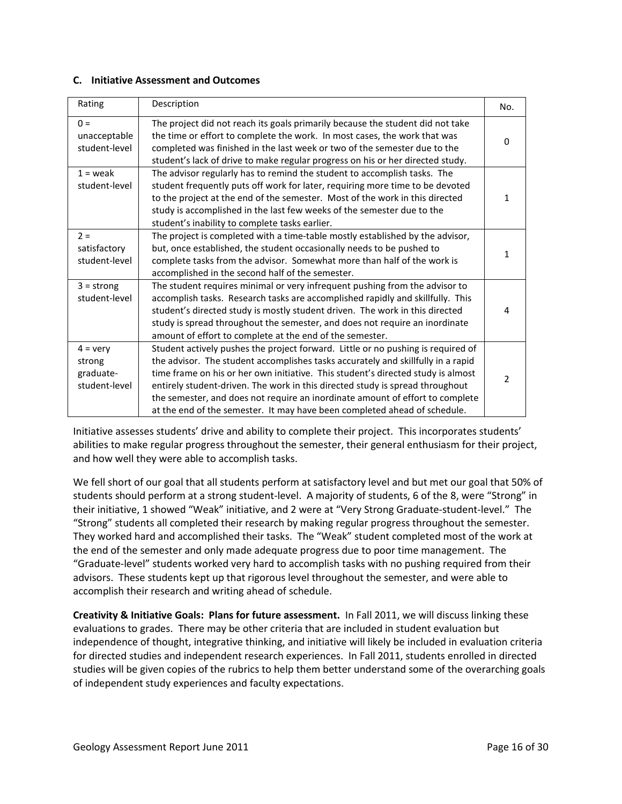#### **C. Initiative Assessment and Outcomes**

| Rating                                                    | Description                                                                                                                                                                                                                                                                                                                                                                                                                                                                                             | No.            |
|-----------------------------------------------------------|---------------------------------------------------------------------------------------------------------------------------------------------------------------------------------------------------------------------------------------------------------------------------------------------------------------------------------------------------------------------------------------------------------------------------------------------------------------------------------------------------------|----------------|
| $0 =$<br>unacceptable<br>student-level                    | The project did not reach its goals primarily because the student did not take<br>the time or effort to complete the work. In most cases, the work that was<br>completed was finished in the last week or two of the semester due to the<br>student's lack of drive to make regular progress on his or her directed study.                                                                                                                                                                              | $\Omega$       |
| $1 =$ weak<br>student-level                               | The advisor regularly has to remind the student to accomplish tasks. The<br>student frequently puts off work for later, requiring more time to be devoted<br>to the project at the end of the semester. Most of the work in this directed<br>study is accomplished in the last few weeks of the semester due to the<br>student's inability to complete tasks earlier.                                                                                                                                   | 1              |
| $2 =$<br>satisfactory<br>student-level                    | The project is completed with a time-table mostly established by the advisor,<br>but, once established, the student occasionally needs to be pushed to<br>complete tasks from the advisor. Somewhat more than half of the work is<br>accomplished in the second half of the semester.                                                                                                                                                                                                                   | 1              |
| $3 =$ strong<br>student-level                             | The student requires minimal or very infrequent pushing from the advisor to<br>accomplish tasks. Research tasks are accomplished rapidly and skillfully. This<br>student's directed study is mostly student driven. The work in this directed<br>study is spread throughout the semester, and does not require an inordinate<br>amount of effort to complete at the end of the semester.                                                                                                                | 4              |
| $4 = \text{very}$<br>strong<br>graduate-<br>student-level | Student actively pushes the project forward. Little or no pushing is required of<br>the advisor. The student accomplishes tasks accurately and skillfully in a rapid<br>time frame on his or her own initiative. This student's directed study is almost<br>entirely student-driven. The work in this directed study is spread throughout<br>the semester, and does not require an inordinate amount of effort to complete<br>at the end of the semester. It may have been completed ahead of schedule. | $\overline{2}$ |

Initiative assesses students' drive and ability to complete their project. This incorporates students' abilities to make regular progress throughout the semester, their general enthusiasm for their project, and how well they were able to accomplish tasks.

We fell short of our goal that all students perform at satisfactory level and but met our goal that 50% of students should perform at a strong student-level. A majority of students, 6 of the 8, were "Strong" in their initiative, 1 showed "Weak" initiative, and 2 were at "Very Strong Graduate-student-level." The "Strong" students all completed their research by making regular progress throughout the semester. They worked hard and accomplished their tasks. The "Weak" student completed most of the work at the end of the semester and only made adequate progress due to poor time management. The "Graduate-level" students worked very hard to accomplish tasks with no pushing required from their advisors. These students kept up that rigorous level throughout the semester, and were able to accomplish their research and writing ahead of schedule.

**Creativity & Initiative Goals: Plans for future assessment.** In Fall 2011, we will discuss linking these evaluations to grades. There may be other criteria that are included in student evaluation but independence of thought, integrative thinking, and initiative will likely be included in evaluation criteria for directed studies and independent research experiences. In Fall 2011, students enrolled in directed studies will be given copies of the rubrics to help them better understand some of the overarching goals of independent study experiences and faculty expectations.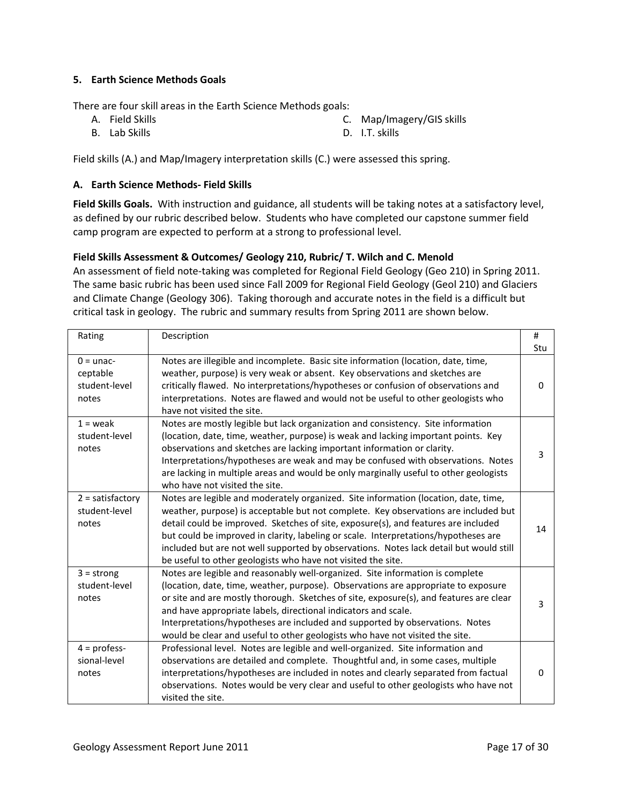# **5. Earth Science Methods Goals**

There are four skill areas in the Earth Science Methods goals:

- A. Field Skills
- B. Lab Skills

C. Map/Imagery/GIS skills

D. I.T. skills

Field skills (A.) and Map/Imagery interpretation skills (C.) were assessed this spring.

# **A. Earth Science Methods- Field Skills**

**Field Skills Goals.** With instruction and guidance, all students will be taking notes at a satisfactory level, as defined by our rubric described below. Students who have completed our capstone summer field camp program are expected to perform at a strong to professional level.

# **Field Skills Assessment & Outcomes/ Geology 210, Rubric/ T. Wilch and C. Menold**

An assessment of field note-taking was completed for Regional Field Geology (Geo 210) in Spring 2011. The same basic rubric has been used since Fall 2009 for Regional Field Geology (Geol 210) and Glaciers and Climate Change (Geology 306). Taking thorough and accurate notes in the field is a difficult but critical task in geology. The rubric and summary results from Spring 2011 are shown below.

| Rating                                            | Description                                                                                                                                                                                                                                                                                                                                                                                                                                                                                                       | #<br>Stu |
|---------------------------------------------------|-------------------------------------------------------------------------------------------------------------------------------------------------------------------------------------------------------------------------------------------------------------------------------------------------------------------------------------------------------------------------------------------------------------------------------------------------------------------------------------------------------------------|----------|
| $0 =$ unac-<br>ceptable<br>student-level<br>notes | Notes are illegible and incomplete. Basic site information (location, date, time,<br>weather, purpose) is very weak or absent. Key observations and sketches are<br>critically flawed. No interpretations/hypotheses or confusion of observations and<br>interpretations. Notes are flawed and would not be useful to other geologists who<br>have not visited the site.                                                                                                                                          | $\Omega$ |
| $1 =$ weak<br>student-level<br>notes              | Notes are mostly legible but lack organization and consistency. Site information<br>(location, date, time, weather, purpose) is weak and lacking important points. Key<br>observations and sketches are lacking important information or clarity.<br>Interpretations/hypotheses are weak and may be confused with observations. Notes<br>are lacking in multiple areas and would be only marginally useful to other geologists<br>who have not visited the site.                                                  | 3        |
| $2 =$ satisfactory<br>student-level<br>notes      | Notes are legible and moderately organized. Site information (location, date, time,<br>weather, purpose) is acceptable but not complete. Key observations are included but<br>detail could be improved. Sketches of site, exposure(s), and features are included<br>but could be improved in clarity, labeling or scale. Interpretations/hypotheses are<br>included but are not well supported by observations. Notes lack detail but would still<br>be useful to other geologists who have not visited the site. | 14       |
| $3 =$ strong<br>student-level<br>notes            | Notes are legible and reasonably well-organized. Site information is complete<br>(location, date, time, weather, purpose). Observations are appropriate to exposure<br>or site and are mostly thorough. Sketches of site, exposure(s), and features are clear<br>and have appropriate labels, directional indicators and scale.<br>Interpretations/hypotheses are included and supported by observations. Notes<br>would be clear and useful to other geologists who have not visited the site.                   | 3        |
| $4 =$ profess-<br>sional-level<br>notes           | Professional level. Notes are legible and well-organized. Site information and<br>observations are detailed and complete. Thoughtful and, in some cases, multiple<br>interpretations/hypotheses are included in notes and clearly separated from factual<br>observations. Notes would be very clear and useful to other geologists who have not<br>visited the site.                                                                                                                                              | $\Omega$ |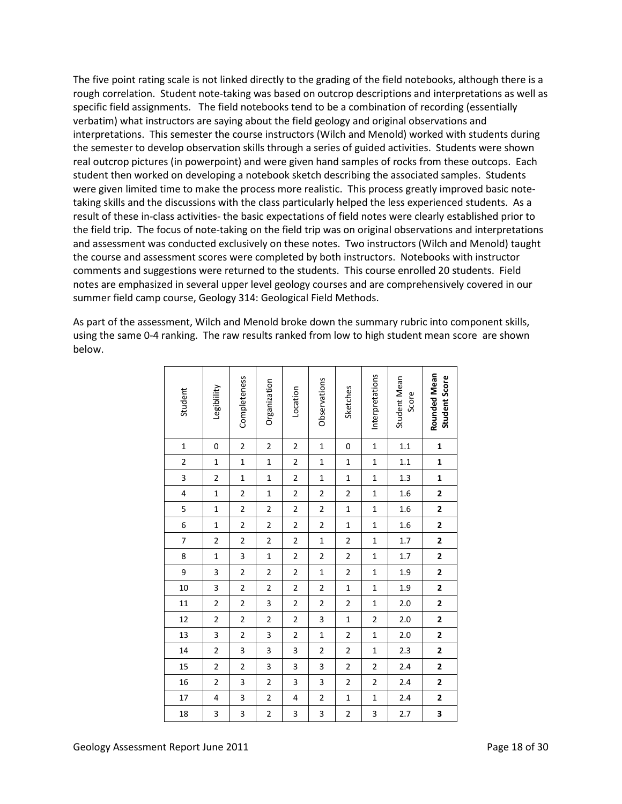The five point rating scale is not linked directly to the grading of the field notebooks, although there is a rough correlation. Student note-taking was based on outcrop descriptions and interpretations as well as specific field assignments. The field notebooks tend to be a combination of recording (essentially verbatim) what instructors are saying about the field geology and original observations and interpretations. This semester the course instructors (Wilch and Menold) worked with students during the semester to develop observation skills through a series of guided activities. Students were shown real outcrop pictures (in powerpoint) and were given hand samples of rocks from these outcops. Each student then worked on developing a notebook sketch describing the associated samples. Students were given limited time to make the process more realistic. This process greatly improved basic notetaking skills and the discussions with the class particularly helped the less experienced students. As a result of these in-class activities- the basic expectations of field notes were clearly established prior to the field trip. The focus of note-taking on the field trip was on original observations and interpretations and assessment was conducted exclusively on these notes. Two instructors (Wilch and Menold) taught the course and assessment scores were completed by both instructors. Notebooks with instructor comments and suggestions were returned to the students. This course enrolled 20 students. Field notes are emphasized in several upper level geology courses and are comprehensively covered in our summer field camp course, Geology 314: Geological Field Methods.

As part of the assessment, Wilch and Menold broke down the summary rubric into component skills, using the same 0-4 ranking. The raw results ranked from low to high student mean score are shown below.

| 18                      | 17                      | 16                      | 15                      | 14                      | 13                      | 12                      | 11                      | 10                      | 9                       | 8                       | $\overline{7}$          | 6                       | 5                       | $\overline{\mathbf{r}}$ | 3                       | $\overline{c}$          | $\mathbf{1}$            | Student                       |
|-------------------------|-------------------------|-------------------------|-------------------------|-------------------------|-------------------------|-------------------------|-------------------------|-------------------------|-------------------------|-------------------------|-------------------------|-------------------------|-------------------------|-------------------------|-------------------------|-------------------------|-------------------------|-------------------------------|
| 3                       | $\overline{\mathbf{4}}$ | $\overline{c}$          | $\overline{\mathbf{c}}$ | $\overline{\mathbf{c}}$ | 3                       | $\overline{\mathbf{c}}$ | $\overline{\mathbf{c}}$ | 3                       | 3                       | $\mathbf{1}$            | $\overline{\mathbf{c}}$ | $\mathbf{1}$            | $\overline{1}$          | $\mathbf{1}$            | $\overline{\mathbf{c}}$ | $\overline{1}$          | $\mathbf 0$             | Legiblility                   |
| 3                       | 3                       | 3                       | $\overline{\mathbf{c}}$ | 3                       | $\overline{\mathbf{c}}$ | $\overline{\mathbf{c}}$ | $\overline{\mathbf{c}}$ | $\overline{\mathbf{c}}$ | $\overline{\mathbf{c}}$ | 3                       | $\overline{\mathbf{c}}$ | $\overline{\mathbf{c}}$ | $\overline{\mathbf{c}}$ | $\overline{\mathbf{c}}$ | $\mathbf{1}$            | $\mathbf{1}$            | $\overline{\mathbf{c}}$ | Completeness                  |
| $\overline{\mathbf{c}}$ | $\overline{2}$          | $\overline{2}$          | 3                       | 3                       | $\overline{\mathbf{3}}$ | $\overline{\mathbf{c}}$ | 3                       | $\overline{2}$          | $\overline{\mathbf{c}}$ | $\overline{1}$          | $\overline{c}$          | $\overline{c}$          | $\overline{\mathbf{c}}$ | $\mathbf{1}$            | $\mathbf 1$             | $\overline{1}$          | $\overline{c}$          | Organization                  |
| 3                       | 4                       | 3                       | 3                       | 3                       | $\overline{\mathbf{c}}$ | $\overline{\mathbf{c}}$ | $\overline{\mathbf{c}}$ | $\overline{\mathbf{c}}$ | $\overline{\mathbf{c}}$ | $\overline{\mathbf{c}}$ | $\overline{\mathbf{c}}$ | $\overline{\mathbf{c}}$ | $\overline{\mathbf{c}}$ | $\overline{\mathbf{c}}$ | $\overline{\mathbf{c}}$ | $\overline{\mathbf{c}}$ | $\overline{\mathbf{c}}$ | Location                      |
| 3                       | $\overline{\mathbf{c}}$ | 3                       | 3                       | $\overline{\mathbf{c}}$ | $\mathbf 1$             | 3                       | $\overline{\mathbf{c}}$ | $\overline{\mathbf{c}}$ | $\mathbf{1}$            | $\overline{a}$          | $\mathbf{1}$            | $\overline{\mathbf{c}}$ | $\overline{\mathbf{c}}$ | $\overline{\mathbf{c}}$ | $\mathbf{1}$            | $\mathbf{1}$            | $\mathbf{1}$            | Observations                  |
| $\overline{\mathbf{c}}$ | $\mathbf 1$             | $\overline{2}$          | $\overline{2}$          | $\overline{2}$          | $\overline{2}$          | $\mathbf 1$             | $\overline{\mathbf{c}}$ | $\overline{1}$          | $\overline{2}$          | $\overline{a}$          | $\overline{c}$          | $\mathbf 1$             | $\mathbf{1}$            | $\overline{2}$          | $\overline{1}$          | $\mathbf 1$             | $\mathbf 0$             | Sketches                      |
| 3                       | $\mathbf{1}$            | $\overline{\mathbf{c}}$ | $\overline{\mathbf{c}}$ | $\mathbf{1}$            | $\mathbf{1}$            | $\overline{\mathbf{c}}$ | $\overline{1}$          | $\mathbf{1}$            | $\mathbf{1}$            | $\overline{1}$          | $\mathbf{1}$            | $\mathbf 1$             | $\mathbf{1}$            | $\mathbf{1}$            | $\mathbf{1}$            | $\mathbf{1}$            | $\mathbf{1}$            | Interpretations               |
| 2.7                     | 2.4                     | 2.4                     | 2.4                     | 2.3                     | 2.0                     | 2.0                     | 2.0                     | 1.9                     | 1.9                     | 1.7                     | 1.7                     | 1.6                     | 1.6                     | 1.6                     | 1.3                     | 1.1                     | 1.1                     | Student Mean<br>Score         |
| 3                       | $\overline{\mathbf{c}}$ | $\overline{\mathbf{c}}$ | $\overline{\mathbf{c}}$ | $\overline{\mathbf{c}}$ | $\overline{\mathbf{c}}$ | $\overline{\mathbf{c}}$ | $\overline{\mathbf{c}}$ | $\overline{\mathbf{c}}$ | $\overline{\mathbf{c}}$ | $\overline{\mathbf{c}}$ | $\overline{\mathbf{c}}$ | $\overline{\mathbf{c}}$ | $\overline{\mathbf{c}}$ | $\overline{\mathbf{c}}$ | $\mathbf{1}$            | $\mathbf{1}$            | $\mathbf{1}$            | Rounded Mean<br>Student Score |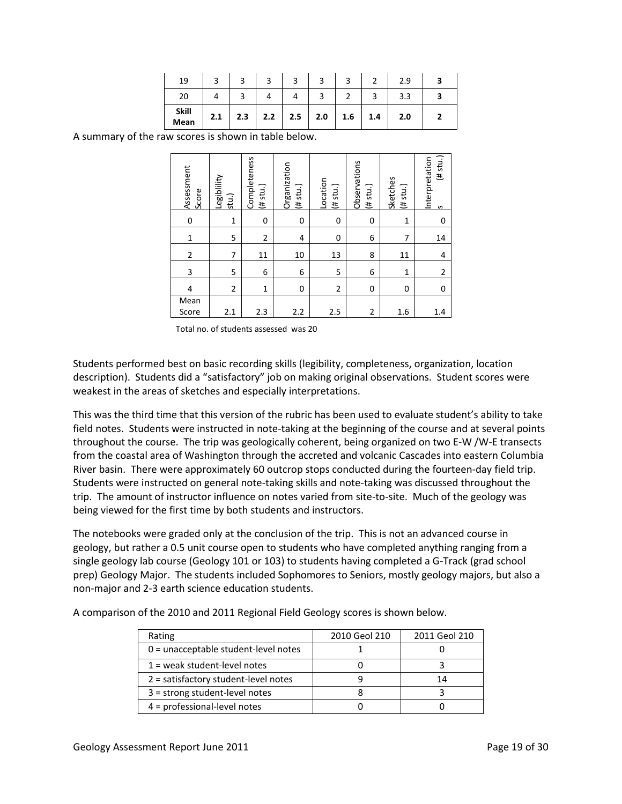| 19                   |     |     |     | ◠   |     |     |     | 2.9 |  |
|----------------------|-----|-----|-----|-----|-----|-----|-----|-----|--|
| 20                   |     |     |     |     |     |     |     | 3.3 |  |
| <b>Skill</b><br>Mean | 2.1 | 2.3 | 2.2 | 2.5 | 2.0 | 1.6 | 1.4 | 2.0 |  |

A summary of the raw scores is shown in table below.

| Assessment<br>Score | Legiblility<br>stu.) | Completeness<br>(# stu.) | Organization<br>(# stu.) | Location<br>(# stu.) | Observations<br>(# stu.) | Sketches<br>$($ # stu.) | $(\#$ stu.)<br>Interpretation<br>S |
|---------------------|----------------------|--------------------------|--------------------------|----------------------|--------------------------|-------------------------|------------------------------------|
| 0                   | 1                    | 0                        | 0                        | 0                    | 0                        | 1                       | 0                                  |
| $\mathbf{1}$        | 5                    | 2                        | 4                        | $\mathbf 0$          | 6                        | 7                       | 14                                 |
| $\overline{2}$      | 7                    | 11                       | 10                       | 13                   | 8                        | 11                      | 4                                  |
| 3                   | 5                    | 6                        | 6                        | 5                    | 6                        | 1                       | $\overline{2}$                     |
| 4                   | $\overline{2}$       | $\mathbf{1}$             | 0                        | $\overline{2}$       | 0                        | $\Omega$                | 0                                  |
| Mean<br>Score       | 2.1                  | 2.3                      | 2.2                      | 2.5                  | 2                        | 1.6                     | 1.4                                |

Total no. of students assessed was 20

Students performed best on basic recording skills (legibility, completeness, organization, location description). Students did a "satisfactory" job on making original observations. Student scores were weakest in the areas of sketches and especially interpretations.

This was the third time that this version of the rubric has been used to evaluate student's ability to take field notes. Students were instructed in note-taking at the beginning of the course and at several points throughout the course. The trip was geologically coherent, being organized on two E-W /W-E transects from the coastal area of Washington through the accreted and volcanic Cascades into eastern Columbia River basin. There were approximately 60 outcrop stops conducted during the fourteen-day field trip. Students were instructed on general note-taking skills and note-taking was discussed throughout the trip. The amount of instructor influence on notes varied from site-to-site. Much of the geology was being viewed for the first time by both students and instructors.

The notebooks were graded only at the conclusion of the trip. This is not an advanced course in geology, but rather a 0.5 unit course open to students who have completed anything ranging from a single geology lab course (Geology 101 or 103) to students having completed a G-Track (grad school prep) Geology Major. The students included Sophomores to Seniors, mostly geology majors, but also a non-major and 2-3 earth science education students.

| Rating                                 | 2010 Geol 210 | 2011 Geol 210 |
|----------------------------------------|---------------|---------------|
| 0 = unacceptable student-level notes   |               |               |
| $1$ = weak student-level notes         |               |               |
| $2$ = satisfactory student-level notes |               | 14            |
| $3 =$ strong student-level notes       |               |               |
| $4 =$ professional-level notes         |               |               |

A comparison of the 2010 and 2011 Regional Field Geology scores is shown below.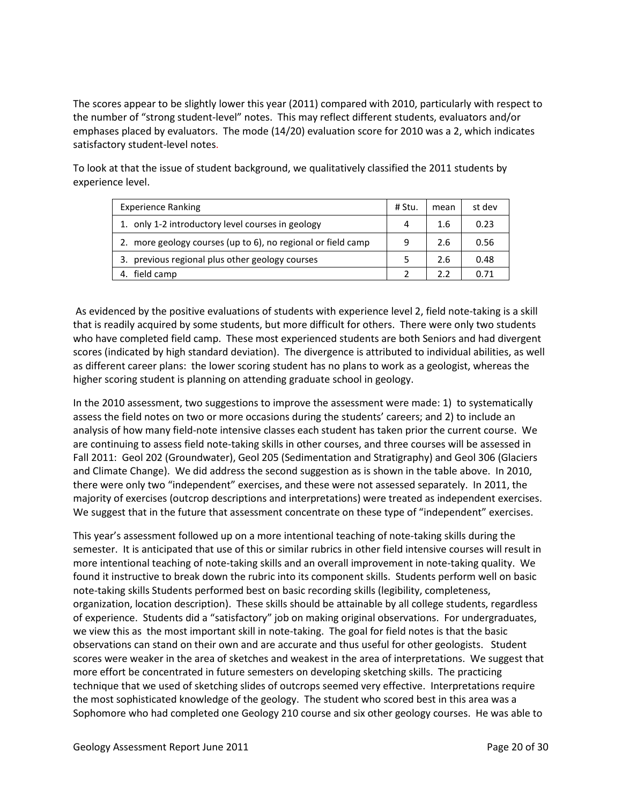The scores appear to be slightly lower this year (2011) compared with 2010, particularly with respect to the number of "strong student-level" notes. This may reflect different students, evaluators and/or emphases placed by evaluators. The mode (14/20) evaluation score for 2010 was a 2, which indicates satisfactory student-level notes.

To look at that the issue of student background, we qualitatively classified the 2011 students by experience level.

| <b>Experience Ranking</b>                                       | # Stu. | mean | st dev |
|-----------------------------------------------------------------|--------|------|--------|
| 1. only 1-2 introductory level courses in geology               | 4      | 1.6  | 0.23   |
| more geology courses (up to 6), no regional or field camp<br>2. | 9      | 2.6  | 0.56   |
| 3. previous regional plus other geology courses                 |        | 2.6  | 0.48   |
| field camp<br>4.                                                |        | 2.2  | በ 71   |

As evidenced by the positive evaluations of students with experience level 2, field note-taking is a skill that is readily acquired by some students, but more difficult for others. There were only two students who have completed field camp. These most experienced students are both Seniors and had divergent scores (indicated by high standard deviation). The divergence is attributed to individual abilities, as well as different career plans: the lower scoring student has no plans to work as a geologist, whereas the higher scoring student is planning on attending graduate school in geology.

In the 2010 assessment, two suggestions to improve the assessment were made: 1) to systematically assess the field notes on two or more occasions during the students' careers; and 2) to include an analysis of how many field-note intensive classes each student has taken prior the current course. We are continuing to assess field note-taking skills in other courses, and three courses will be assessed in Fall 2011: Geol 202 (Groundwater), Geol 205 (Sedimentation and Stratigraphy) and Geol 306 (Glaciers and Climate Change). We did address the second suggestion as is shown in the table above. In 2010, there were only two "independent" exercises, and these were not assessed separately. In 2011, the majority of exercises (outcrop descriptions and interpretations) were treated as independent exercises. We suggest that in the future that assessment concentrate on these type of "independent" exercises.

This year's assessment followed up on a more intentional teaching of note-taking skills during the semester. It is anticipated that use of this or similar rubrics in other field intensive courses will result in more intentional teaching of note-taking skills and an overall improvement in note-taking quality. We found it instructive to break down the rubric into its component skills. Students perform well on basic note-taking skills Students performed best on basic recording skills (legibility, completeness, organization, location description). These skills should be attainable by all college students, regardless of experience. Students did a "satisfactory" job on making original observations. For undergraduates, we view this as the most important skill in note-taking. The goal for field notes is that the basic observations can stand on their own and are accurate and thus useful for other geologists. Student scores were weaker in the area of sketches and weakest in the area of interpretations. We suggest that more effort be concentrated in future semesters on developing sketching skills. The practicing technique that we used of sketching slides of outcrops seemed very effective. Interpretations require the most sophisticated knowledge of the geology. The student who scored best in this area was a Sophomore who had completed one Geology 210 course and six other geology courses. He was able to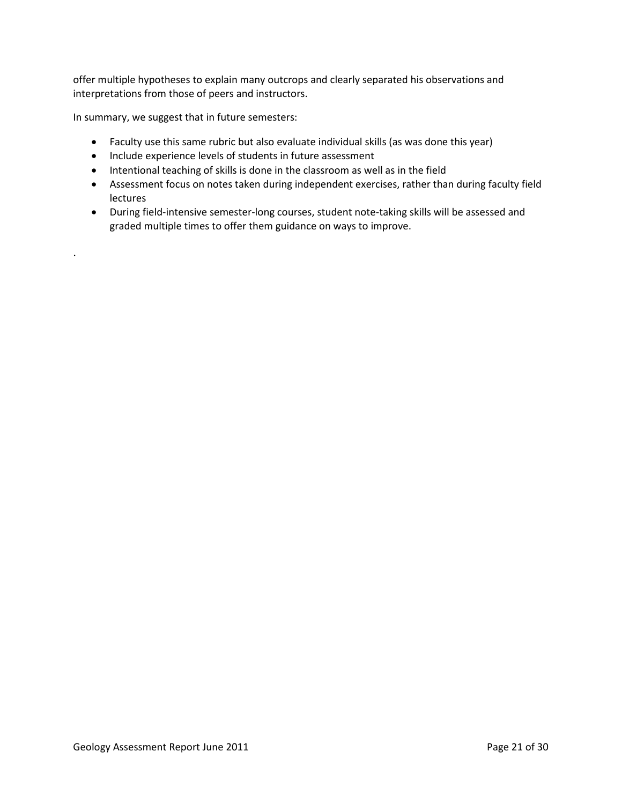offer multiple hypotheses to explain many outcrops and clearly separated his observations and interpretations from those of peers and instructors.

In summary, we suggest that in future semesters:

.

- Faculty use this same rubric but also evaluate individual skills (as was done this year)
- Include experience levels of students in future assessment
- Intentional teaching of skills is done in the classroom as well as in the field
- Assessment focus on notes taken during independent exercises, rather than during faculty field lectures
- During field-intensive semester-long courses, student note-taking skills will be assessed and graded multiple times to offer them guidance on ways to improve.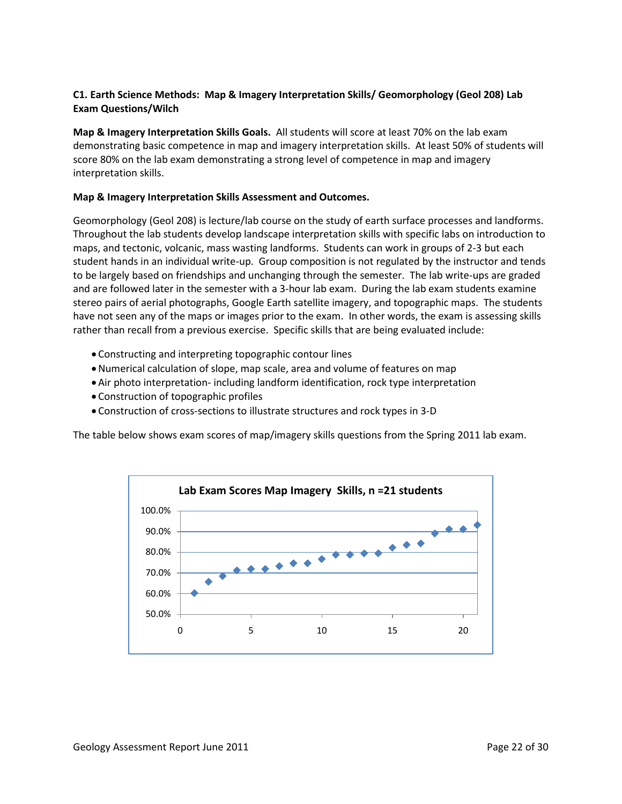# **C1. Earth Science Methods: Map & Imagery Interpretation Skills/ Geomorphology (Geol 208) Lab Exam Questions/Wilch**

**Map & Imagery Interpretation Skills Goals.** All students will score at least 70% on the lab exam demonstrating basic competence in map and imagery interpretation skills. At least 50% of students will score 80% on the lab exam demonstrating a strong level of competence in map and imagery interpretation skills.

# **Map & Imagery Interpretation Skills Assessment and Outcomes.**

Geomorphology (Geol 208) is lecture/lab course on the study of earth surface processes and landforms. Throughout the lab students develop landscape interpretation skills with specific labs on introduction to maps, and tectonic, volcanic, mass wasting landforms. Students can work in groups of 2-3 but each student hands in an individual write-up. Group composition is not regulated by the instructor and tends to be largely based on friendships and unchanging through the semester. The lab write-ups are graded and are followed later in the semester with a 3-hour lab exam. During the lab exam students examine stereo pairs of aerial photographs, Google Earth satellite imagery, and topographic maps. The students have not seen any of the maps or images prior to the exam. In other words, the exam is assessing skills rather than recall from a previous exercise. Specific skills that are being evaluated include:

- Constructing and interpreting topographic contour lines
- •Numerical calculation of slope, map scale, area and volume of features on map
- Air photo interpretation- including landform identification, rock type interpretation
- Construction of topographic profiles
- Construction of cross-sections to illustrate structures and rock types in 3-D

The table below shows exam scores of map/imagery skills questions from the Spring 2011 lab exam.

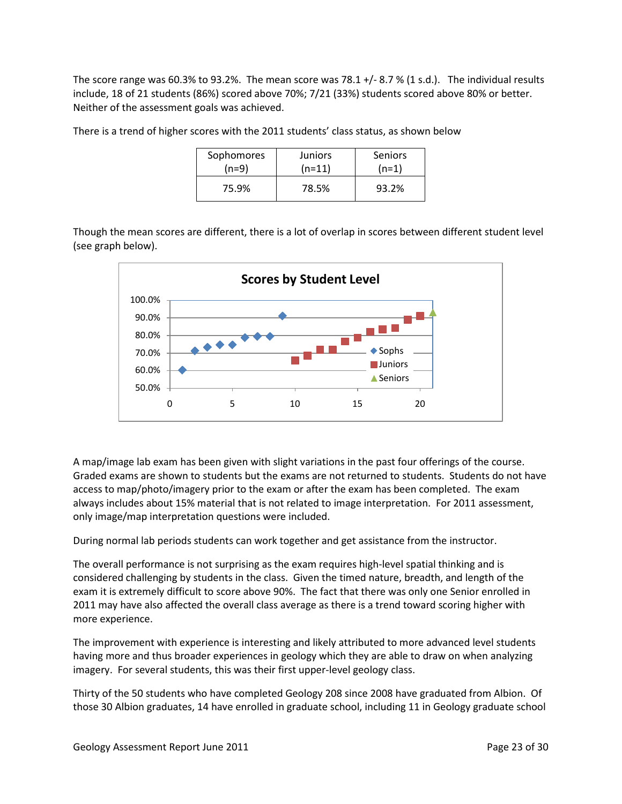The score range was 60.3% to 93.2%. The mean score was 78.1 +/- 8.7 % (1 s.d.). The individual results include, 18 of 21 students (86%) scored above 70%; 7/21 (33%) students scored above 80% or better. Neither of the assessment goals was achieved.

There is a trend of higher scores with the 2011 students' class status, as shown below

| Sophomores | <b>Juniors</b> | Seniors |
|------------|----------------|---------|
| (n=9)      | $(n=11)$       | $(n=1)$ |
| 75.9%      | 78.5%          | 93.2%   |

Though the mean scores are different, there is a lot of overlap in scores between different student level (see graph below).



A map/image lab exam has been given with slight variations in the past four offerings of the course. Graded exams are shown to students but the exams are not returned to students. Students do not have access to map/photo/imagery prior to the exam or after the exam has been completed. The exam always includes about 15% material that is not related to image interpretation. For 2011 assessment, only image/map interpretation questions were included.

During normal lab periods students can work together and get assistance from the instructor.

The overall performance is not surprising as the exam requires high-level spatial thinking and is considered challenging by students in the class. Given the timed nature, breadth, and length of the exam it is extremely difficult to score above 90%. The fact that there was only one Senior enrolled in 2011 may have also affected the overall class average as there is a trend toward scoring higher with more experience.

The improvement with experience is interesting and likely attributed to more advanced level students having more and thus broader experiences in geology which they are able to draw on when analyzing imagery. For several students, this was their first upper-level geology class.

Thirty of the 50 students who have completed Geology 208 since 2008 have graduated from Albion. Of those 30 Albion graduates, 14 have enrolled in graduate school, including 11 in Geology graduate school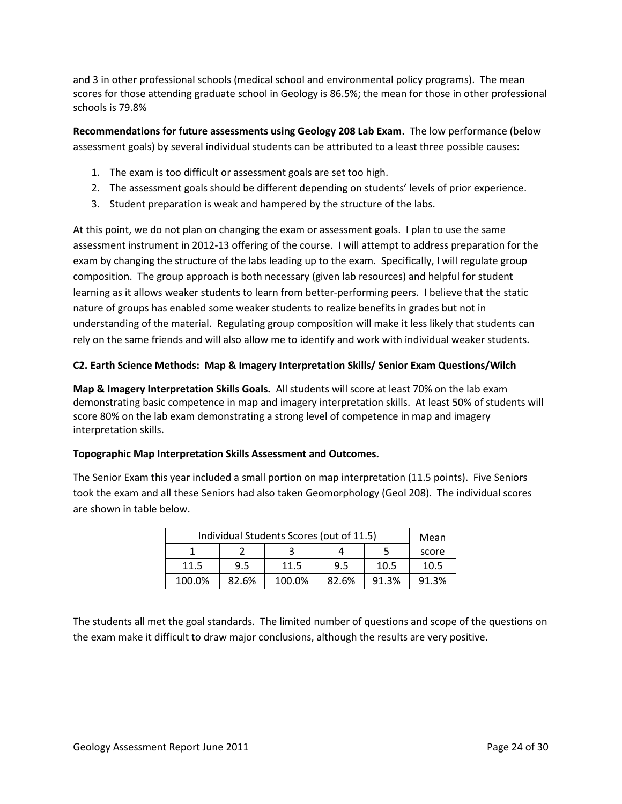and 3 in other professional schools (medical school and environmental policy programs). The mean scores for those attending graduate school in Geology is 86.5%; the mean for those in other professional schools is 79.8%

**Recommendations for future assessments using Geology 208 Lab Exam.** The low performance (below assessment goals) by several individual students can be attributed to a least three possible causes:

- 1. The exam is too difficult or assessment goals are set too high.
- 2. The assessment goals should be different depending on students' levels of prior experience.
- 3. Student preparation is weak and hampered by the structure of the labs.

At this point, we do not plan on changing the exam or assessment goals. I plan to use the same assessment instrument in 2012-13 offering of the course. I will attempt to address preparation for the exam by changing the structure of the labs leading up to the exam. Specifically, I will regulate group composition. The group approach is both necessary (given lab resources) and helpful for student learning as it allows weaker students to learn from better-performing peers. I believe that the static nature of groups has enabled some weaker students to realize benefits in grades but not in understanding of the material. Regulating group composition will make it less likely that students can rely on the same friends and will also allow me to identify and work with individual weaker students.

# **C2. Earth Science Methods: Map & Imagery Interpretation Skills/ Senior Exam Questions/Wilch**

**Map & Imagery Interpretation Skills Goals.** All students will score at least 70% on the lab exam demonstrating basic competence in map and imagery interpretation skills. At least 50% of students will score 80% on the lab exam demonstrating a strong level of competence in map and imagery interpretation skills.

# **Topographic Map Interpretation Skills Assessment and Outcomes.**

The Senior Exam this year included a small portion on map interpretation (11.5 points). Five Seniors took the exam and all these Seniors had also taken Geomorphology (Geol 208). The individual scores are shown in table below.

| Individual Students Scores (out of 11.5) | Mean  |        |       |       |       |  |  |
|------------------------------------------|-------|--------|-------|-------|-------|--|--|
|                                          |       |        |       |       |       |  |  |
| 11.5                                     | 9.5   | 11.5   | 9.5   | 10.5  | 10.5  |  |  |
| 100.0%                                   | 82.6% | 100.0% | 82.6% | 91.3% | 91.3% |  |  |

The students all met the goal standards. The limited number of questions and scope of the questions on the exam make it difficult to draw major conclusions, although the results are very positive.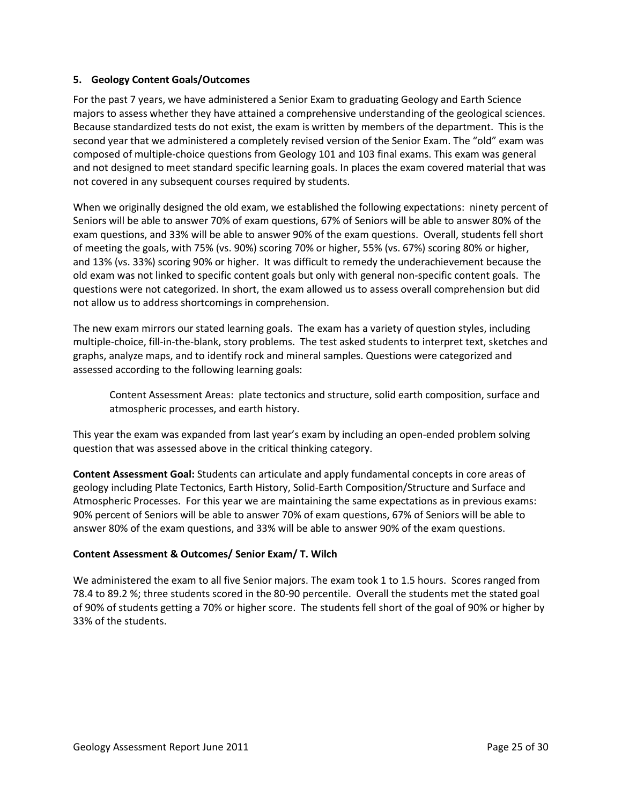# **5. Geology Content Goals/Outcomes**

For the past 7 years, we have administered a Senior Exam to graduating Geology and Earth Science majors to assess whether they have attained a comprehensive understanding of the geological sciences. Because standardized tests do not exist, the exam is written by members of the department. This is the second year that we administered a completely revised version of the Senior Exam. The "old" exam was composed of multiple-choice questions from Geology 101 and 103 final exams. This exam was general and not designed to meet standard specific learning goals. In places the exam covered material that was not covered in any subsequent courses required by students.

When we originally designed the old exam, we established the following expectations: ninety percent of Seniors will be able to answer 70% of exam questions, 67% of Seniors will be able to answer 80% of the exam questions, and 33% will be able to answer 90% of the exam questions. Overall, students fell short of meeting the goals, with 75% (vs. 90%) scoring 70% or higher, 55% (vs. 67%) scoring 80% or higher, and 13% (vs. 33%) scoring 90% or higher. It was difficult to remedy the underachievement because the old exam was not linked to specific content goals but only with general non-specific content goals. The questions were not categorized. In short, the exam allowed us to assess overall comprehension but did not allow us to address shortcomings in comprehension.

The new exam mirrors our stated learning goals. The exam has a variety of question styles, including multiple-choice, fill-in-the-blank, story problems. The test asked students to interpret text, sketches and graphs, analyze maps, and to identify rock and mineral samples. Questions were categorized and assessed according to the following learning goals:

Content Assessment Areas: plate tectonics and structure, solid earth composition, surface and atmospheric processes, and earth history.

This year the exam was expanded from last year's exam by including an open-ended problem solving question that was assessed above in the critical thinking category.

**Content Assessment Goal:** Students can articulate and apply fundamental concepts in core areas of geology including Plate Tectonics, Earth History, Solid-Earth Composition/Structure and Surface and Atmospheric Processes. For this year we are maintaining the same expectations as in previous exams: 90% percent of Seniors will be able to answer 70% of exam questions, 67% of Seniors will be able to answer 80% of the exam questions, and 33% will be able to answer 90% of the exam questions.

# **Content Assessment & Outcomes/ Senior Exam/ T. Wilch**

We administered the exam to all five Senior majors. The exam took 1 to 1.5 hours. Scores ranged from 78.4 to 89.2 %; three students scored in the 80-90 percentile. Overall the students met the stated goal of 90% of students getting a 70% or higher score. The students fell short of the goal of 90% or higher by 33% of the students.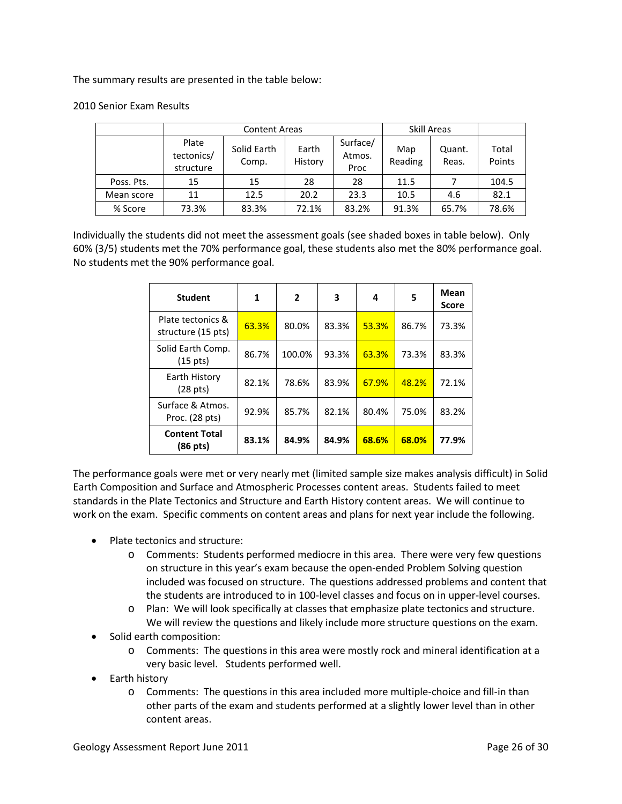The summary results are presented in the table below:

|            |                                  | <b>Content Areas</b> | Skill Areas      |                            |                |                 |                 |
|------------|----------------------------------|----------------------|------------------|----------------------------|----------------|-----------------|-----------------|
|            | Plate<br>tectonics/<br>structure | Solid Earth<br>Comp. | Earth<br>History | Surface/<br>Atmos.<br>Proc | Map<br>Reading | Quant.<br>Reas. | Total<br>Points |
| Poss. Pts. | 15                               | 15                   | 28               | 28                         | 11.5           |                 | 104.5           |
| Mean score | 11                               | 12.5                 | 20.2             | 23.3                       | 10.5           | 4.6             | 82.1            |
| % Score    | 73.3%                            | 83.3%                | 72.1%            | 83.2%                      | 91.3%          | 65.7%           | 78.6%           |

### 2010 Senior Exam Results

Individually the students did not meet the assessment goals (see shaded boxes in table below). Only 60% (3/5) students met the 70% performance goal, these students also met the 80% performance goal. No students met the 90% performance goal.

| <b>Student</b>                          | 1     | $\overline{2}$ | 3     | 4     | 5     | Mean<br><b>Score</b> |
|-----------------------------------------|-------|----------------|-------|-------|-------|----------------------|
| Plate tectonics &<br>structure (15 pts) | 63.3% | 80.0%          | 83.3% | 53.3% | 86.7% | 73.3%                |
| Solid Earth Comp.<br>(15 pts)           | 86.7% | 100.0%         | 93.3% | 63.3% | 73.3% | 83.3%                |
| Earth History<br>(28 pts)               | 82.1% | 78.6%          | 83.9% | 67.9% | 48.2% | 72.1%                |
| Surface & Atmos.<br>Proc. (28 pts)      | 92.9% | 85.7%          | 82.1% | 80.4% | 75.0% | 83.2%                |
| <b>Content Total</b><br>(86 pts)        | 83.1% | 84.9%          | 84.9% | 68.6% | 68.0% | 77.9%                |

The performance goals were met or very nearly met (limited sample size makes analysis difficult) in Solid Earth Composition and Surface and Atmospheric Processes content areas. Students failed to meet standards in the Plate Tectonics and Structure and Earth History content areas. We will continue to work on the exam. Specific comments on content areas and plans for next year include the following.

- Plate tectonics and structure:
	- o Comments: Students performed mediocre in this area. There were very few questions on structure in this year's exam because the open-ended Problem Solving question included was focused on structure. The questions addressed problems and content that the students are introduced to in 100-level classes and focus on in upper-level courses.
	- o Plan: We will look specifically at classes that emphasize plate tectonics and structure. We will review the questions and likely include more structure questions on the exam.
- Solid earth composition:
	- o Comments: The questions in this area were mostly rock and mineral identification at a very basic level. Students performed well.
- Earth history
	- o Comments: The questions in this area included more multiple-choice and fill-in than other parts of the exam and students performed at a slightly lower level than in other content areas.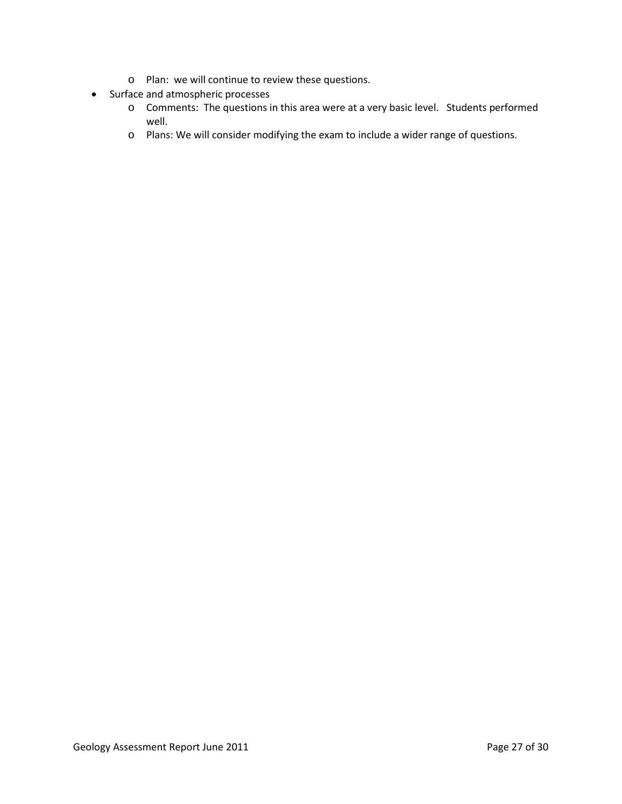- o Plan: we will continue to review these questions.
- Surface and atmospheric processes
	- o Comments: The questions in this area were at a very basic level. Students performed well.
	- o Plans: We will consider modifying the exam to include a wider range of questions.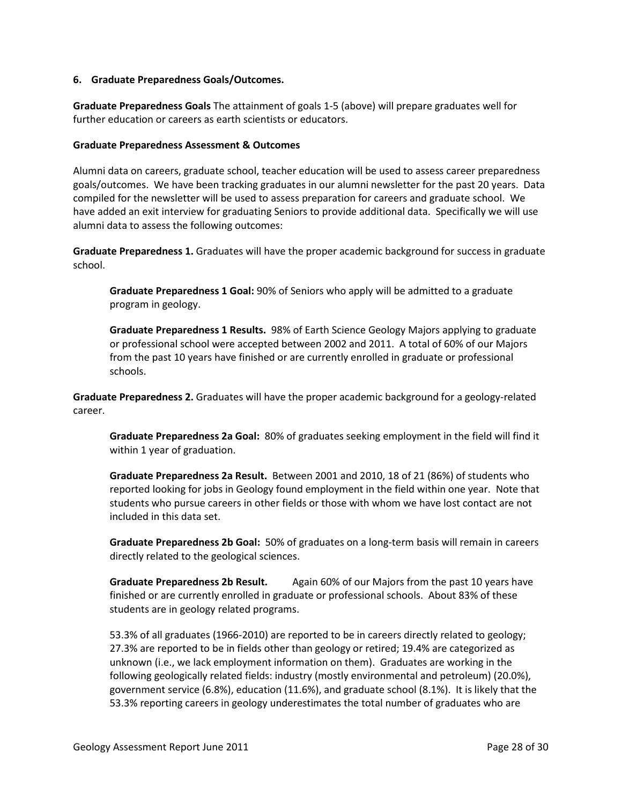#### **6. Graduate Preparedness Goals/Outcomes.**

**Graduate Preparedness Goals** The attainment of goals 1-5 (above) will prepare graduates well for further education or careers as earth scientists or educators.

### **Graduate Preparedness Assessment & Outcomes**

Alumni data on careers, graduate school, teacher education will be used to assess career preparedness goals/outcomes. We have been tracking graduates in our alumni newsletter for the past 20 years. Data compiled for the newsletter will be used to assess preparation for careers and graduate school. We have added an exit interview for graduating Seniors to provide additional data. Specifically we will use alumni data to assess the following outcomes:

**Graduate Preparedness 1.** Graduates will have the proper academic background for success in graduate school.

**Graduate Preparedness 1 Goal:** 90% of Seniors who apply will be admitted to a graduate program in geology.

**Graduate Preparedness 1 Results.** 98% of Earth Science Geology Majors applying to graduate or professional school were accepted between 2002 and 2011. A total of 60% of our Majors from the past 10 years have finished or are currently enrolled in graduate or professional schools.

**Graduate Preparedness 2.** Graduates will have the proper academic background for a geology-related career.

**Graduate Preparedness 2a Goal:** 80% of graduates seeking employment in the field will find it within 1 year of graduation.

**Graduate Preparedness 2a Result.** Between 2001 and 2010, 18 of 21 (86%) of students who reported looking for jobs in Geology found employment in the field within one year. Note that students who pursue careers in other fields or those with whom we have lost contact are not included in this data set.

**Graduate Preparedness 2b Goal:** 50% of graduates on a long-term basis will remain in careers directly related to the geological sciences.

**Graduate Preparedness 2b Result.** Again 60% of our Majors from the past 10 years have finished or are currently enrolled in graduate or professional schools. About 83% of these students are in geology related programs.

53.3% of all graduates (1966-2010) are reported to be in careers directly related to geology; 27.3% are reported to be in fields other than geology or retired; 19.4% are categorized as unknown (i.e., we lack employment information on them). Graduates are working in the following geologically related fields: industry (mostly environmental and petroleum) (20.0%), government service (6.8%), education (11.6%), and graduate school (8.1%). It is likely that the 53.3% reporting careers in geology underestimates the total number of graduates who are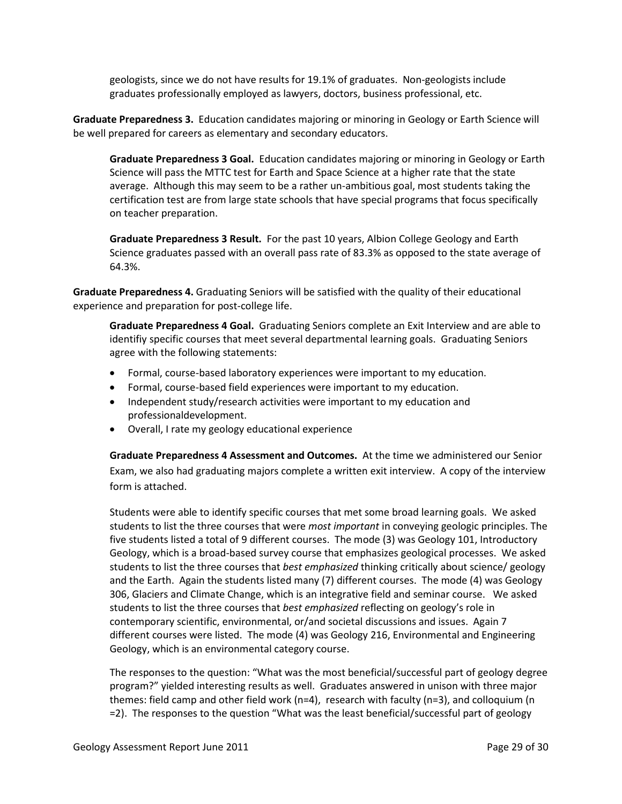geologists, since we do not have results for 19.1% of graduates. Non-geologists include graduates professionally employed as lawyers, doctors, business professional, etc.

**Graduate Preparedness 3.** Education candidates majoring or minoring in Geology or Earth Science will be well prepared for careers as elementary and secondary educators.

**Graduate Preparedness 3 Goal.** Education candidates majoring or minoring in Geology or Earth Science will pass the MTTC test for Earth and Space Science at a higher rate that the state average. Although this may seem to be a rather un-ambitious goal, most students taking the certification test are from large state schools that have special programs that focus specifically on teacher preparation.

**Graduate Preparedness 3 Result.** For the past 10 years, Albion College Geology and Earth Science graduates passed with an overall pass rate of 83.3% as opposed to the state average of 64.3%.

**Graduate Preparedness 4.** Graduating Seniors will be satisfied with the quality of their educational experience and preparation for post-college life.

**Graduate Preparedness 4 Goal.** Graduating Seniors complete an Exit Interview and are able to identifiy specific courses that meet several departmental learning goals. Graduating Seniors agree with the following statements:

- Formal, course-based laboratory experiences were important to my education.
- Formal, course-based field experiences were important to my education.
- Independent study/research activities were important to my education and professionaldevelopment.
- Overall, I rate my geology educational experience

**Graduate Preparedness 4 Assessment and Outcomes.** At the time we administered our Senior Exam, we also had graduating majors complete a written exit interview. A copy of the interview form is attached.

Students were able to identify specific courses that met some broad learning goals. We asked students to list the three courses that were *most important* in conveying geologic principles. The five students listed a total of 9 different courses. The mode (3) was Geology 101, Introductory Geology, which is a broad-based survey course that emphasizes geological processes. We asked students to list the three courses that *best emphasized* thinking critically about science/ geology and the Earth. Again the students listed many (7) different courses. The mode (4) was Geology 306, Glaciers and Climate Change, which is an integrative field and seminar course. We asked students to list the three courses that *best emphasized* reflecting on geology's role in contemporary scientific, environmental, or/and societal discussions and issues. Again 7 different courses were listed. The mode (4) was Geology 216, Environmental and Engineering Geology, which is an environmental category course.

The responses to the question: "What was the most beneficial/successful part of geology degree program?" yielded interesting results as well. Graduates answered in unison with three major themes: field camp and other field work (n=4), research with faculty (n=3), and colloquium (n =2). The responses to the question "What was the least beneficial/successful part of geology